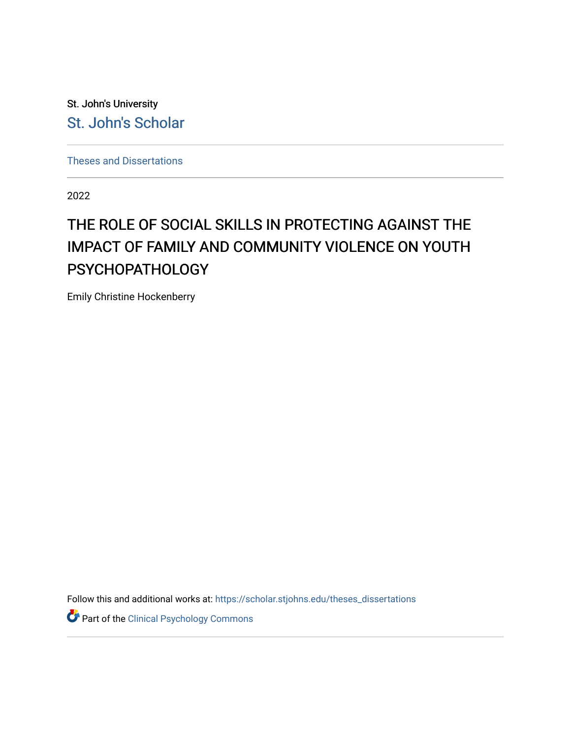St. John's University [St. John's Scholar](https://scholar.stjohns.edu/) 

[Theses and Dissertations](https://scholar.stjohns.edu/theses_dissertations)

2022

# THE ROLE OF SOCIAL SKILLS IN PROTECTING AGAINST THE IMPACT OF FAMILY AND COMMUNITY VIOLENCE ON YOUTH PSYCHOPATHOLOGY

Emily Christine Hockenberry

Follow this and additional works at: [https://scholar.stjohns.edu/theses\\_dissertations](https://scholar.stjohns.edu/theses_dissertations?utm_source=scholar.stjohns.edu%2Ftheses_dissertations%2F406&utm_medium=PDF&utm_campaign=PDFCoverPages)

Part of the [Clinical Psychology Commons](https://network.bepress.com/hgg/discipline/406?utm_source=scholar.stjohns.edu%2Ftheses_dissertations%2F406&utm_medium=PDF&utm_campaign=PDFCoverPages)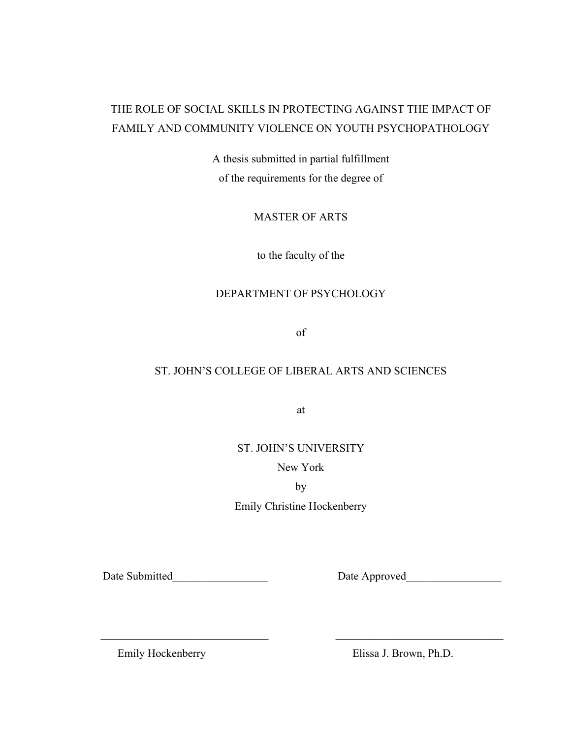# THE ROLE OF SOCIAL SKILLS IN PROTECTING AGAINST THE IMPACT OF FAMILY AND COMMUNITY VIOLENCE ON YOUTH PSYCHOPATHOLOGY

A thesis submitted in partial fulfillment of the requirements for the degree of

MASTER OF ARTS

to the faculty of the

# DEPARTMENT OF PSYCHOLOGY

of

# ST. JOHN'S COLLEGE OF LIBERAL ARTS AND SCIENCES

at

ST. JOHN'S UNIVERSITY

New York

by

Emily Christine Hockenberry

 $\frac{1}{2}$  ,  $\frac{1}{2}$  ,  $\frac{1}{2}$  ,  $\frac{1}{2}$  ,  $\frac{1}{2}$  ,  $\frac{1}{2}$  ,  $\frac{1}{2}$  ,  $\frac{1}{2}$  ,  $\frac{1}{2}$  ,  $\frac{1}{2}$  ,  $\frac{1}{2}$  ,  $\frac{1}{2}$  ,  $\frac{1}{2}$  ,  $\frac{1}{2}$  ,  $\frac{1}{2}$  ,  $\frac{1}{2}$  ,  $\frac{1}{2}$  ,  $\frac{1}{2}$  ,  $\frac{1$ 

Date Submitted<br>
Date Approved

Emily Hockenberry Elissa J. Brown, Ph.D.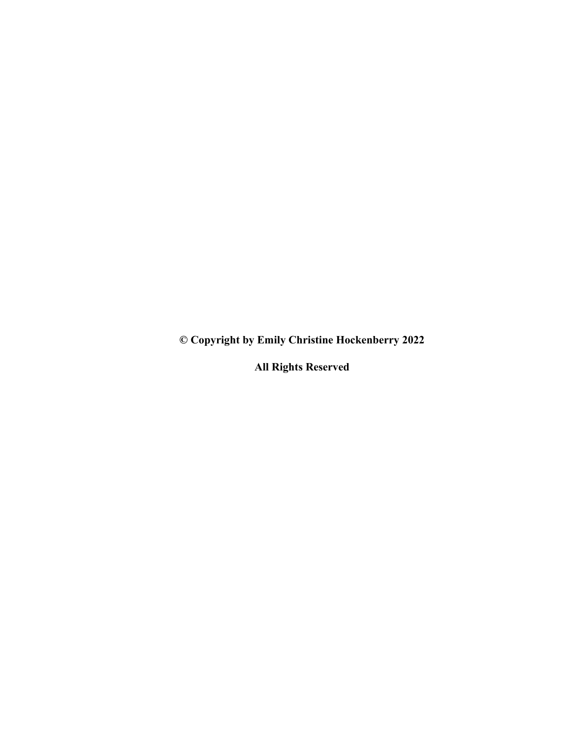**© Copyright by Emily Christine Hockenberry 2022**

**All Rights Reserved**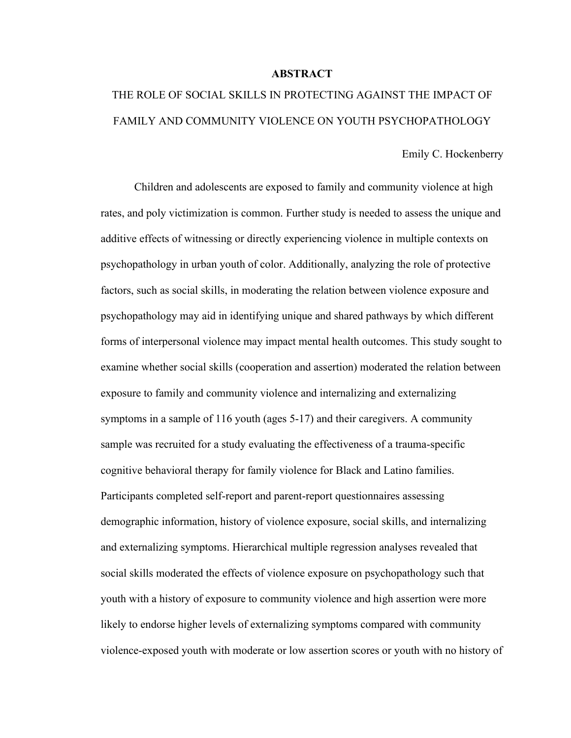## **ABSTRACT**

# THE ROLE OF SOCIAL SKILLS IN PROTECTING AGAINST THE IMPACT OF FAMILY AND COMMUNITY VIOLENCE ON YOUTH PSYCHOPATHOLOGY

Emily C. Hockenberry

Children and adolescents are exposed to family and community violence at high rates, and poly victimization is common. Further study is needed to assess the unique and additive effects of witnessing or directly experiencing violence in multiple contexts on psychopathology in urban youth of color. Additionally, analyzing the role of protective factors, such as social skills, in moderating the relation between violence exposure and psychopathology may aid in identifying unique and shared pathways by which different forms of interpersonal violence may impact mental health outcomes. This study sought to examine whether social skills (cooperation and assertion) moderated the relation between exposure to family and community violence and internalizing and externalizing symptoms in a sample of 116 youth (ages 5-17) and their caregivers. A community sample was recruited for a study evaluating the effectiveness of a trauma-specific cognitive behavioral therapy for family violence for Black and Latino families. Participants completed self-report and parent-report questionnaires assessing demographic information, history of violence exposure, social skills, and internalizing and externalizing symptoms. Hierarchical multiple regression analyses revealed that social skills moderated the effects of violence exposure on psychopathology such that youth with a history of exposure to community violence and high assertion were more likely to endorse higher levels of externalizing symptoms compared with community violence-exposed youth with moderate or low assertion scores or youth with no history of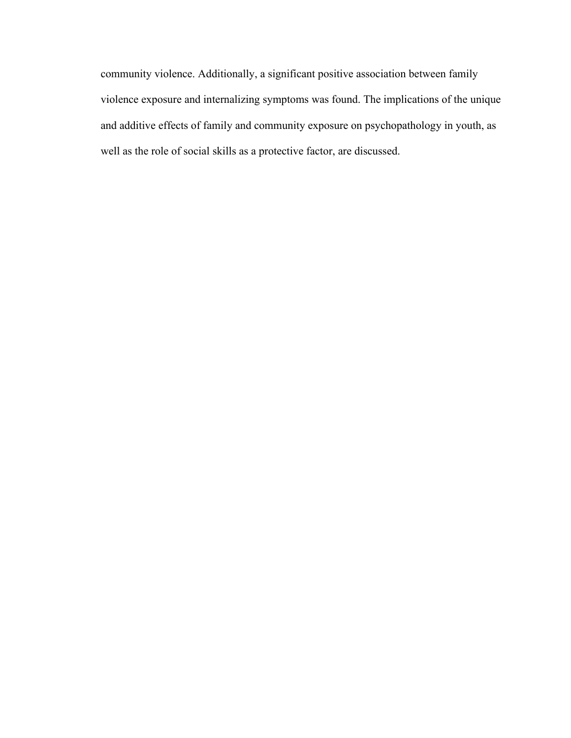community violence. Additionally, a significant positive association between family violence exposure and internalizing symptoms was found. The implications of the unique and additive effects of family and community exposure on psychopathology in youth, as well as the role of social skills as a protective factor, are discussed.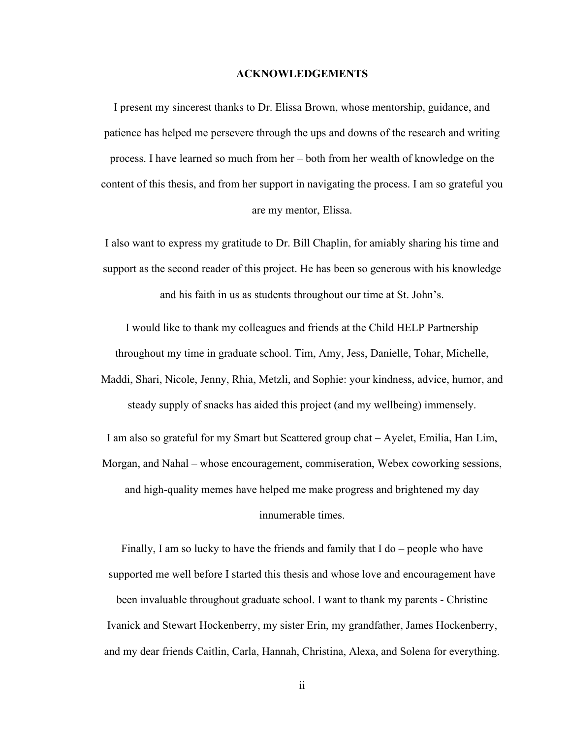#### **ACKNOWLEDGEMENTS**

I present my sincerest thanks to Dr. Elissa Brown, whose mentorship, guidance, and patience has helped me persevere through the ups and downs of the research and writing process. I have learned so much from her – both from her wealth of knowledge on the content of this thesis, and from her support in navigating the process. I am so grateful you are my mentor, Elissa.

I also want to express my gratitude to Dr. Bill Chaplin, for amiably sharing his time and support as the second reader of this project. He has been so generous with his knowledge and his faith in us as students throughout our time at St. John's.

I would like to thank my colleagues and friends at the Child HELP Partnership

throughout my time in graduate school. Tim, Amy, Jess, Danielle, Tohar, Michelle,

Maddi, Shari, Nicole, Jenny, Rhia, Metzli, and Sophie: your kindness, advice, humor, and steady supply of snacks has aided this project (and my wellbeing) immensely.

I am also so grateful for my Smart but Scattered group chat – Ayelet, Emilia, Han Lim, Morgan, and Nahal – whose encouragement, commiseration, Webex coworking sessions, and high-quality memes have helped me make progress and brightened my day innumerable times.

Finally, I am so lucky to have the friends and family that I do – people who have supported me well before I started this thesis and whose love and encouragement have been invaluable throughout graduate school. I want to thank my parents - Christine Ivanick and Stewart Hockenberry, my sister Erin, my grandfather, James Hockenberry, and my dear friends Caitlin, Carla, Hannah, Christina, Alexa, and Solena for everything.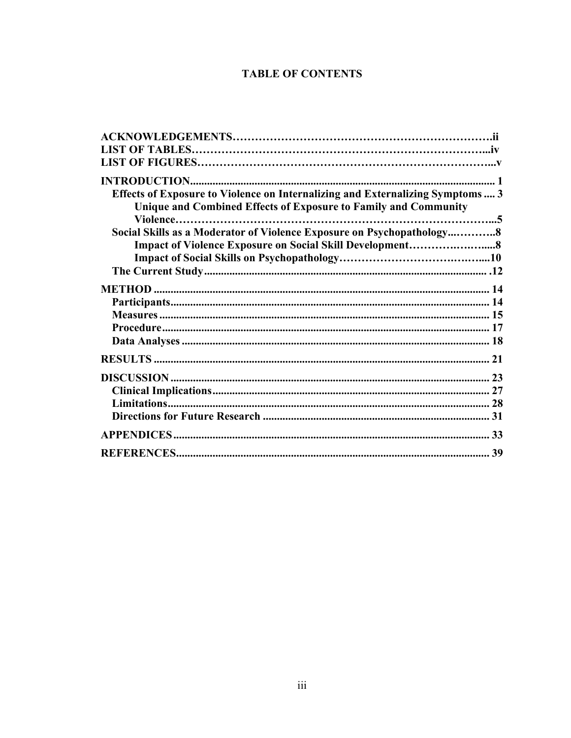# **TABLE OF CONTENTS**

| Effects of Exposure to Violence on Internalizing and Externalizing Symptoms 3 |
|-------------------------------------------------------------------------------|
| Unique and Combined Effects of Exposure to Family and Community               |
|                                                                               |
| Social Skills as a Moderator of Violence Exposure on Psychopathology8         |
|                                                                               |
|                                                                               |
|                                                                               |
|                                                                               |
|                                                                               |
|                                                                               |
|                                                                               |
|                                                                               |
|                                                                               |
|                                                                               |
|                                                                               |
|                                                                               |
|                                                                               |
|                                                                               |
|                                                                               |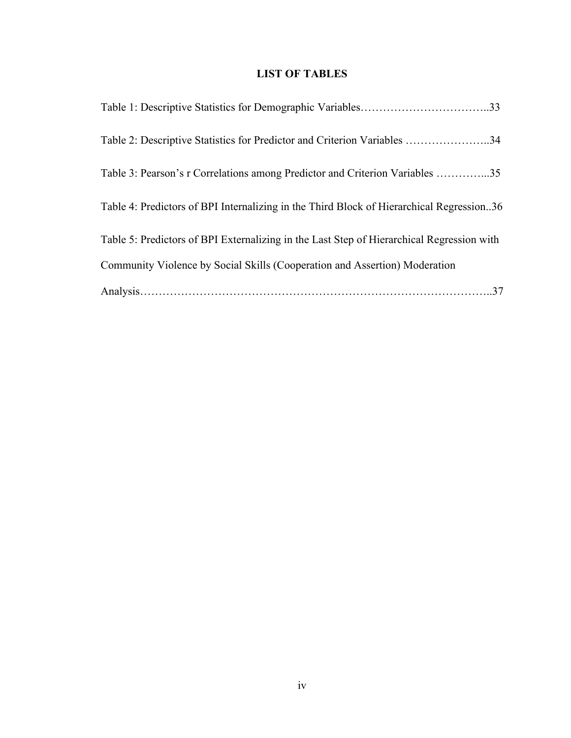# **LIST OF TABLES**

| Table 2: Descriptive Statistics for Predictor and Criterion Variables 34                  |
|-------------------------------------------------------------------------------------------|
| Table 3: Pearson's r Correlations among Predictor and Criterion Variables 35              |
| Table 4: Predictors of BPI Internalizing in the Third Block of Hierarchical Regression36  |
| Table 5: Predictors of BPI Externalizing in the Last Step of Hierarchical Regression with |
| Community Violence by Social Skills (Cooperation and Assertion) Moderation                |
|                                                                                           |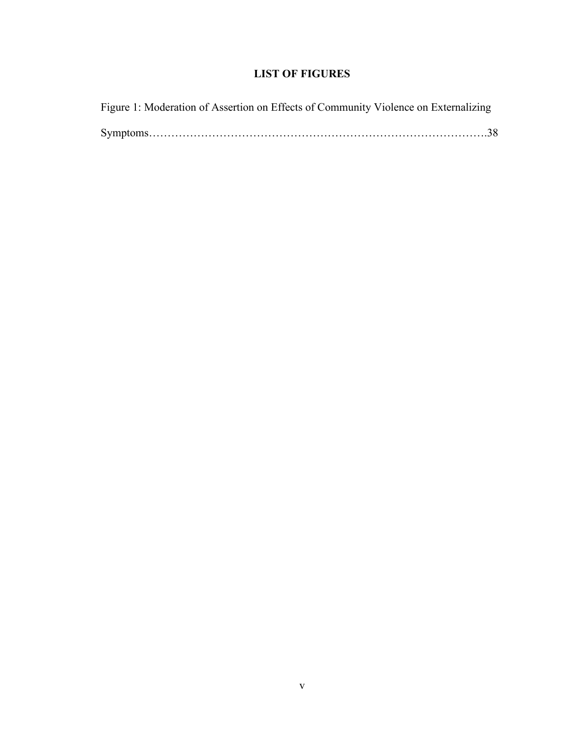# **LIST OF FIGURES**

|  | Figure 1: Moderation of Assertion on Effects of Community Violence on Externalizing |  |
|--|-------------------------------------------------------------------------------------|--|
|  |                                                                                     |  |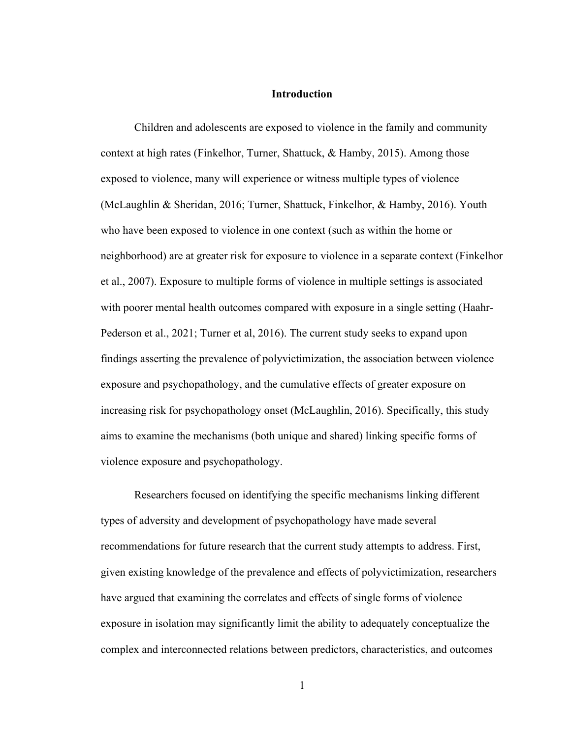## **Introduction**

Children and adolescents are exposed to violence in the family and community context at high rates (Finkelhor, Turner, Shattuck, & Hamby, 2015). Among those exposed to violence, many will experience or witness multiple types of violence (McLaughlin & Sheridan, 2016; Turner, Shattuck, Finkelhor, & Hamby, 2016). Youth who have been exposed to violence in one context (such as within the home or neighborhood) are at greater risk for exposure to violence in a separate context (Finkelhor et al., 2007). Exposure to multiple forms of violence in multiple settings is associated with poorer mental health outcomes compared with exposure in a single setting (Haahr-Pederson et al., 2021; Turner et al, 2016). The current study seeks to expand upon findings asserting the prevalence of polyvictimization, the association between violence exposure and psychopathology, and the cumulative effects of greater exposure on increasing risk for psychopathology onset (McLaughlin, 2016). Specifically, this study aims to examine the mechanisms (both unique and shared) linking specific forms of violence exposure and psychopathology.

Researchers focused on identifying the specific mechanisms linking different types of adversity and development of psychopathology have made several recommendations for future research that the current study attempts to address. First, given existing knowledge of the prevalence and effects of polyvictimization, researchers have argued that examining the correlates and effects of single forms of violence exposure in isolation may significantly limit the ability to adequately conceptualize the complex and interconnected relations between predictors, characteristics, and outcomes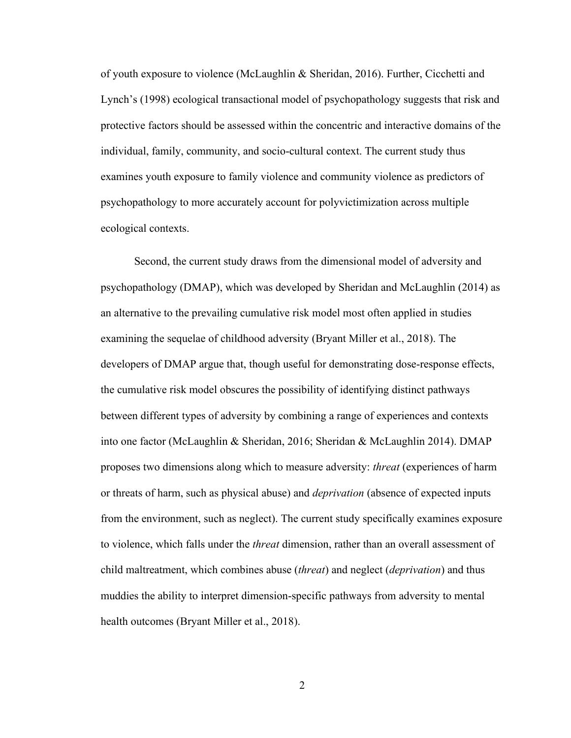of youth exposure to violence (McLaughlin & Sheridan, 2016). Further, Cicchetti and Lynch's (1998) ecological transactional model of psychopathology suggests that risk and protective factors should be assessed within the concentric and interactive domains of the individual, family, community, and socio-cultural context. The current study thus examines youth exposure to family violence and community violence as predictors of psychopathology to more accurately account for polyvictimization across multiple ecological contexts.

Second, the current study draws from the dimensional model of adversity and psychopathology (DMAP), which was developed by Sheridan and McLaughlin (2014) as an alternative to the prevailing cumulative risk model most often applied in studies examining the sequelae of childhood adversity (Bryant Miller et al., 2018). The developers of DMAP argue that, though useful for demonstrating dose-response effects, the cumulative risk model obscures the possibility of identifying distinct pathways between different types of adversity by combining a range of experiences and contexts into one factor (McLaughlin & Sheridan, 2016; Sheridan & McLaughlin 2014). DMAP proposes two dimensions along which to measure adversity: *threat* (experiences of harm or threats of harm, such as physical abuse) and *deprivation* (absence of expected inputs from the environment, such as neglect). The current study specifically examines exposure to violence, which falls under the *threat* dimension, rather than an overall assessment of child maltreatment, which combines abuse (*threat*) and neglect (*deprivation*) and thus muddies the ability to interpret dimension-specific pathways from adversity to mental health outcomes (Bryant Miller et al., 2018).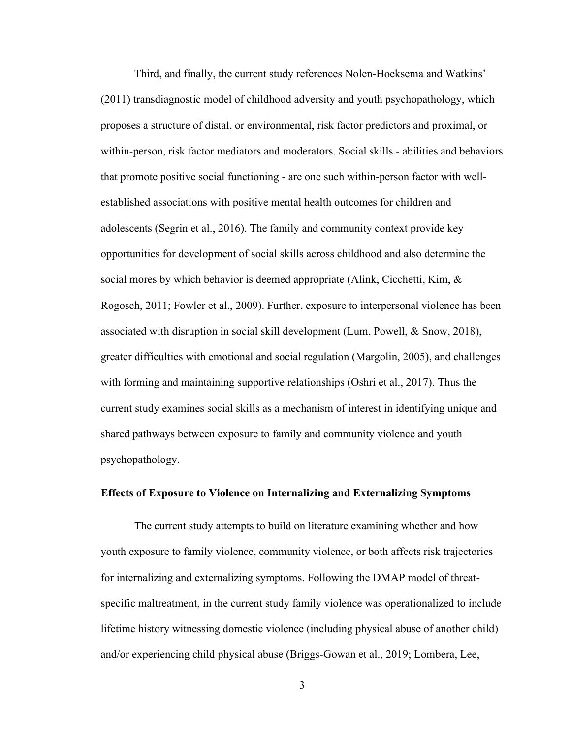Third, and finally, the current study references Nolen-Hoeksema and Watkins' (2011) transdiagnostic model of childhood adversity and youth psychopathology, which proposes a structure of distal, or environmental, risk factor predictors and proximal, or within-person, risk factor mediators and moderators. Social skills - abilities and behaviors that promote positive social functioning - are one such within-person factor with wellestablished associations with positive mental health outcomes for children and adolescents (Segrin et al., 2016). The family and community context provide key opportunities for development of social skills across childhood and also determine the social mores by which behavior is deemed appropriate (Alink, Cicchetti, Kim, & Rogosch, 2011; Fowler et al., 2009). Further, exposure to interpersonal violence has been associated with disruption in social skill development (Lum, Powell, & Snow, 2018), greater difficulties with emotional and social regulation (Margolin, 2005), and challenges with forming and maintaining supportive relationships (Oshri et al., 2017). Thus the current study examines social skills as a mechanism of interest in identifying unique and shared pathways between exposure to family and community violence and youth psychopathology.

## **Effects of Exposure to Violence on Internalizing and Externalizing Symptoms**

The current study attempts to build on literature examining whether and how youth exposure to family violence, community violence, or both affects risk trajectories for internalizing and externalizing symptoms. Following the DMAP model of threatspecific maltreatment, in the current study family violence was operationalized to include lifetime history witnessing domestic violence (including physical abuse of another child) and/or experiencing child physical abuse (Briggs-Gowan et al., 2019; Lombera, Lee,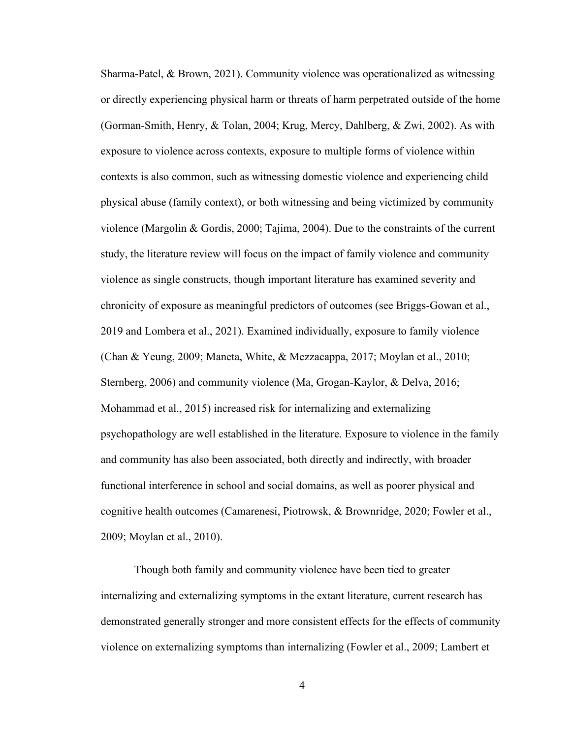Sharma-Patel, & Brown, 2021). Community violence was operationalized as witnessing or directly experiencing physical harm or threats of harm perpetrated outside of the home (Gorman-Smith, Henry, & Tolan, 2004; Krug, Mercy, Dahlberg, & Zwi, 2002). As with exposure to violence across contexts, exposure to multiple forms of violence within contexts is also common, such as witnessing domestic violence and experiencing child physical abuse (family context), or both witnessing and being victimized by community violence (Margolin & Gordis, 2000; Tajima, 2004). Due to the constraints of the current study, the literature review will focus on the impact of family violence and community violence as single constructs, though important literature has examined severity and chronicity of exposure as meaningful predictors of outcomes (see Briggs-Gowan et al., 2019 and Lombera et al., 2021). Examined individually, exposure to family violence (Chan & Yeung, 2009; Maneta, White, & Mezzacappa, 2017; Moylan et al., 2010; Sternberg, 2006) and community violence (Ma, Grogan-Kaylor, & Delva, 2016; Mohammad et al., 2015) increased risk for internalizing and externalizing psychopathology are well established in the literature. Exposure to violence in the family and community has also been associated, both directly and indirectly, with broader functional interference in school and social domains, as well as poorer physical and cognitive health outcomes (Camarenesi, Piotrowsk, & Brownridge, 2020; Fowler et al., 2009; Moylan et al., 2010).

Though both family and community violence have been tied to greater internalizing and externalizing symptoms in the extant literature, current research has demonstrated generally stronger and more consistent effects for the effects of community violence on externalizing symptoms than internalizing (Fowler et al., 2009; Lambert et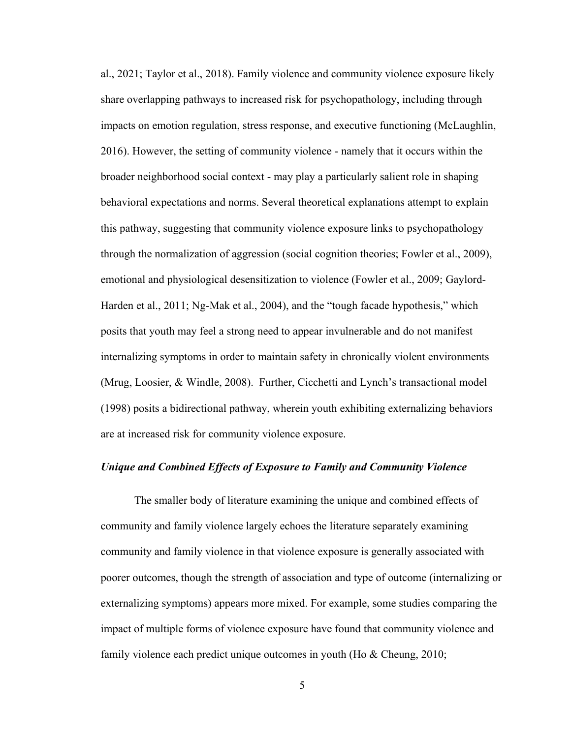al., 2021; Taylor et al., 2018). Family violence and community violence exposure likely share overlapping pathways to increased risk for psychopathology, including through impacts on emotion regulation, stress response, and executive functioning (McLaughlin, 2016). However, the setting of community violence - namely that it occurs within the broader neighborhood social context - may play a particularly salient role in shaping behavioral expectations and norms. Several theoretical explanations attempt to explain this pathway, suggesting that community violence exposure links to psychopathology through the normalization of aggression (social cognition theories; Fowler et al., 2009), emotional and physiological desensitization to violence (Fowler et al., 2009; Gaylord-Harden et al., 2011; Ng-Mak et al., 2004), and the "tough facade hypothesis," which posits that youth may feel a strong need to appear invulnerable and do not manifest internalizing symptoms in order to maintain safety in chronically violent environments (Mrug, Loosier, & Windle, 2008). Further, Cicchetti and Lynch's transactional model (1998) posits a bidirectional pathway, wherein youth exhibiting externalizing behaviors are at increased risk for community violence exposure.

## *Unique and Combined Effects of Exposure to Family and Community Violence*

The smaller body of literature examining the unique and combined effects of community and family violence largely echoes the literature separately examining community and family violence in that violence exposure is generally associated with poorer outcomes, though the strength of association and type of outcome (internalizing or externalizing symptoms) appears more mixed. For example, some studies comparing the impact of multiple forms of violence exposure have found that community violence and family violence each predict unique outcomes in youth (Ho & Cheung, 2010;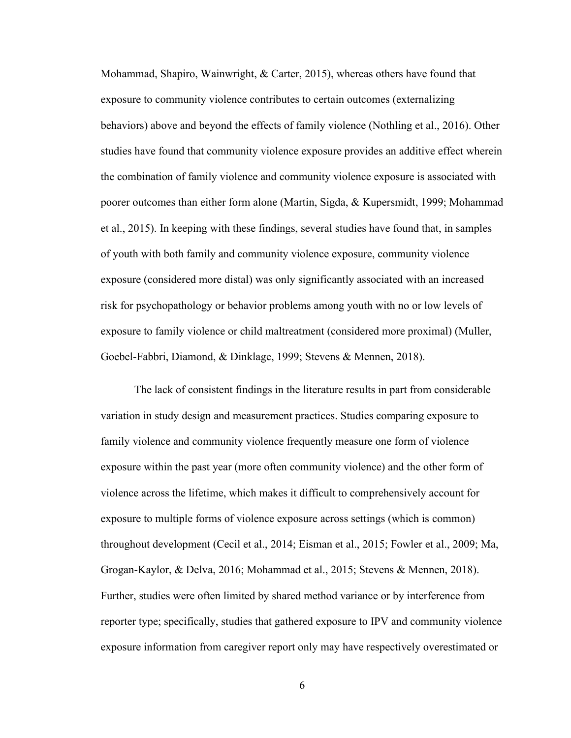Mohammad, Shapiro, Wainwright, & Carter, 2015), whereas others have found that exposure to community violence contributes to certain outcomes (externalizing behaviors) above and beyond the effects of family violence (Nothling et al., 2016). Other studies have found that community violence exposure provides an additive effect wherein the combination of family violence and community violence exposure is associated with poorer outcomes than either form alone (Martin, Sigda, & Kupersmidt, 1999; Mohammad et al., 2015). In keeping with these findings, several studies have found that, in samples of youth with both family and community violence exposure, community violence exposure (considered more distal) was only significantly associated with an increased risk for psychopathology or behavior problems among youth with no or low levels of exposure to family violence or child maltreatment (considered more proximal) (Muller, Goebel-Fabbri, Diamond, & Dinklage, 1999; Stevens & Mennen, 2018).

The lack of consistent findings in the literature results in part from considerable variation in study design and measurement practices. Studies comparing exposure to family violence and community violence frequently measure one form of violence exposure within the past year (more often community violence) and the other form of violence across the lifetime, which makes it difficult to comprehensively account for exposure to multiple forms of violence exposure across settings (which is common) throughout development (Cecil et al., 2014; Eisman et al., 2015; Fowler et al., 2009; Ma, Grogan-Kaylor, & Delva, 2016; Mohammad et al., 2015; Stevens & Mennen, 2018). Further, studies were often limited by shared method variance or by interference from reporter type; specifically, studies that gathered exposure to IPV and community violence exposure information from caregiver report only may have respectively overestimated or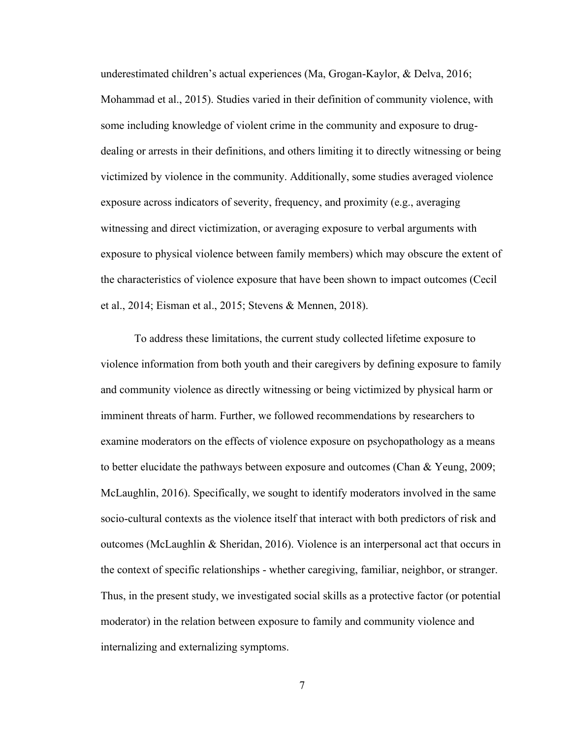underestimated children's actual experiences (Ma, Grogan-Kaylor, & Delva, 2016; Mohammad et al., 2015). Studies varied in their definition of community violence, with some including knowledge of violent crime in the community and exposure to drugdealing or arrests in their definitions, and others limiting it to directly witnessing or being victimized by violence in the community. Additionally, some studies averaged violence exposure across indicators of severity, frequency, and proximity (e.g., averaging witnessing and direct victimization, or averaging exposure to verbal arguments with exposure to physical violence between family members) which may obscure the extent of the characteristics of violence exposure that have been shown to impact outcomes (Cecil et al., 2014; Eisman et al., 2015; Stevens & Mennen, 2018).

To address these limitations, the current study collected lifetime exposure to violence information from both youth and their caregivers by defining exposure to family and community violence as directly witnessing or being victimized by physical harm or imminent threats of harm. Further, we followed recommendations by researchers to examine moderators on the effects of violence exposure on psychopathology as a means to better elucidate the pathways between exposure and outcomes (Chan  $&$  Yeung, 2009; McLaughlin, 2016). Specifically, we sought to identify moderators involved in the same socio-cultural contexts as the violence itself that interact with both predictors of risk and outcomes (McLaughlin & Sheridan, 2016). Violence is an interpersonal act that occurs in the context of specific relationships - whether caregiving, familiar, neighbor, or stranger. Thus, in the present study, we investigated social skills as a protective factor (or potential moderator) in the relation between exposure to family and community violence and internalizing and externalizing symptoms.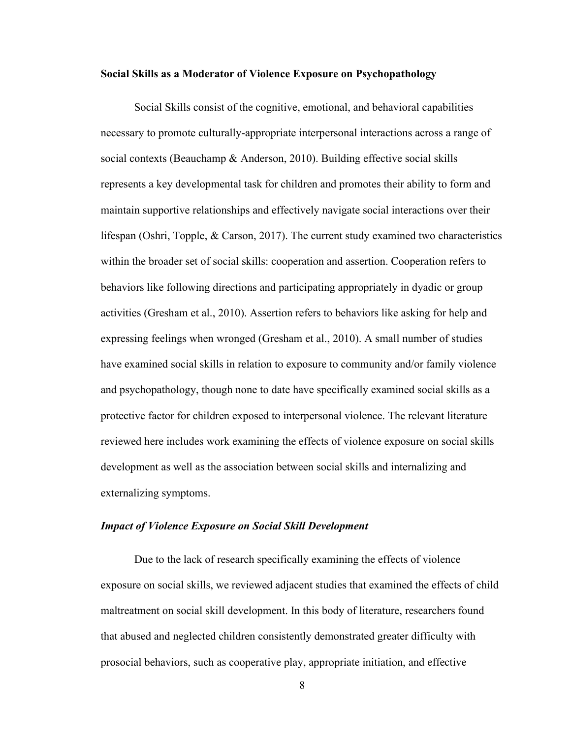#### **Social Skills as a Moderator of Violence Exposure on Psychopathology**

Social Skills consist of the cognitive, emotional, and behavioral capabilities necessary to promote culturally-appropriate interpersonal interactions across a range of social contexts (Beauchamp & Anderson, 2010). Building effective social skills represents a key developmental task for children and promotes their ability to form and maintain supportive relationships and effectively navigate social interactions over their lifespan (Oshri, Topple, & Carson, 2017). The current study examined two characteristics within the broader set of social skills: cooperation and assertion. Cooperation refers to behaviors like following directions and participating appropriately in dyadic or group activities (Gresham et al., 2010). Assertion refers to behaviors like asking for help and expressing feelings when wronged (Gresham et al., 2010). A small number of studies have examined social skills in relation to exposure to community and/or family violence and psychopathology, though none to date have specifically examined social skills as a protective factor for children exposed to interpersonal violence. The relevant literature reviewed here includes work examining the effects of violence exposure on social skills development as well as the association between social skills and internalizing and externalizing symptoms.

#### *Impact of Violence Exposure on Social Skill Development*

Due to the lack of research specifically examining the effects of violence exposure on social skills, we reviewed adjacent studies that examined the effects of child maltreatment on social skill development. In this body of literature, researchers found that abused and neglected children consistently demonstrated greater difficulty with prosocial behaviors, such as cooperative play, appropriate initiation, and effective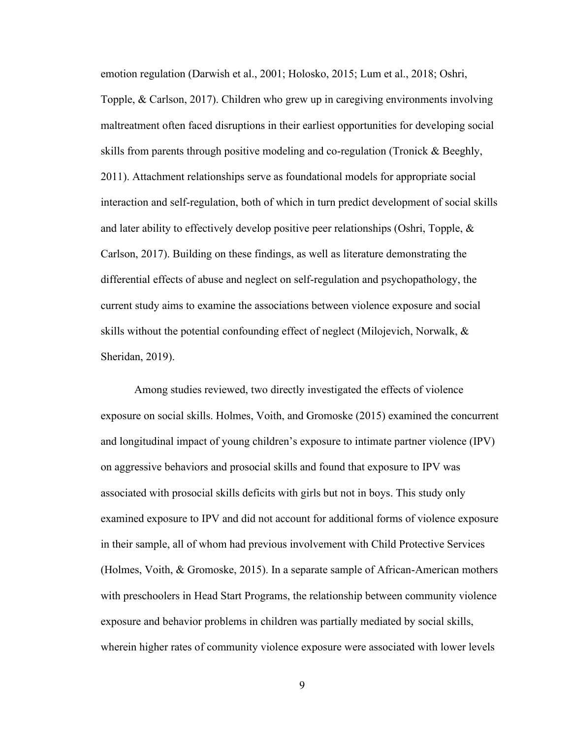emotion regulation (Darwish et al., 2001; Holosko, 2015; Lum et al., 2018; Oshri, Topple, & Carlson, 2017). Children who grew up in caregiving environments involving maltreatment often faced disruptions in their earliest opportunities for developing social skills from parents through positive modeling and co-regulation (Tronick & Beeghly, 2011). Attachment relationships serve as foundational models for appropriate social interaction and self-regulation, both of which in turn predict development of social skills and later ability to effectively develop positive peer relationships (Oshri, Topple, & Carlson, 2017). Building on these findings, as well as literature demonstrating the differential effects of abuse and neglect on self-regulation and psychopathology, the current study aims to examine the associations between violence exposure and social skills without the potential confounding effect of neglect (Milojevich, Norwalk, & Sheridan, 2019).

Among studies reviewed, two directly investigated the effects of violence exposure on social skills. Holmes, Voith, and Gromoske (2015) examined the concurrent and longitudinal impact of young children's exposure to intimate partner violence (IPV) on aggressive behaviors and prosocial skills and found that exposure to IPV was associated with prosocial skills deficits with girls but not in boys. This study only examined exposure to IPV and did not account for additional forms of violence exposure in their sample, all of whom had previous involvement with Child Protective Services (Holmes, Voith, & Gromoske, 2015). In a separate sample of African-American mothers with preschoolers in Head Start Programs, the relationship between community violence exposure and behavior problems in children was partially mediated by social skills, wherein higher rates of community violence exposure were associated with lower levels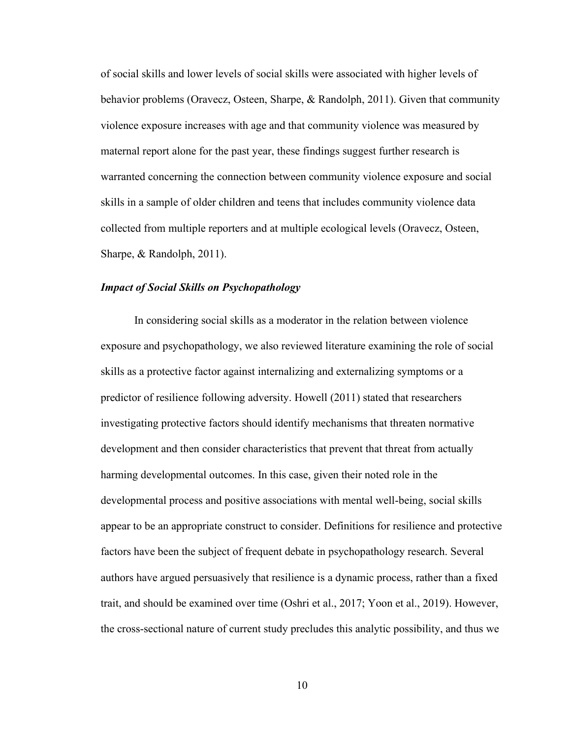of social skills and lower levels of social skills were associated with higher levels of behavior problems (Oravecz, Osteen, Sharpe, & Randolph, 2011). Given that community violence exposure increases with age and that community violence was measured by maternal report alone for the past year, these findings suggest further research is warranted concerning the connection between community violence exposure and social skills in a sample of older children and teens that includes community violence data collected from multiple reporters and at multiple ecological levels (Oravecz, Osteen, Sharpe, & Randolph, 2011).

## *Impact of Social Skills on Psychopathology*

In considering social skills as a moderator in the relation between violence exposure and psychopathology, we also reviewed literature examining the role of social skills as a protective factor against internalizing and externalizing symptoms or a predictor of resilience following adversity. Howell (2011) stated that researchers investigating protective factors should identify mechanisms that threaten normative development and then consider characteristics that prevent that threat from actually harming developmental outcomes. In this case, given their noted role in the developmental process and positive associations with mental well-being, social skills appear to be an appropriate construct to consider. Definitions for resilience and protective factors have been the subject of frequent debate in psychopathology research. Several authors have argued persuasively that resilience is a dynamic process, rather than a fixed trait, and should be examined over time (Oshri et al., 2017; Yoon et al., 2019). However, the cross-sectional nature of current study precludes this analytic possibility, and thus we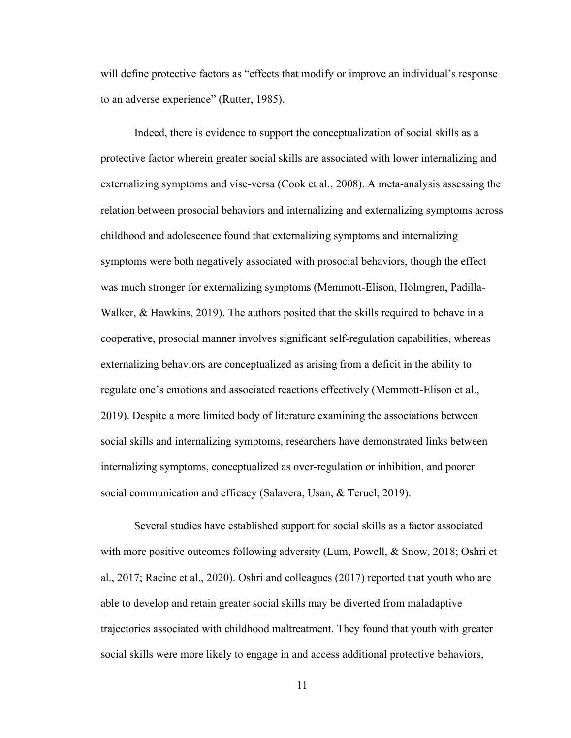will define protective factors as "effects that modify or improve an individual's response to an adverse experience" (Rutter, 1985).

Indeed, there is evidence to support the conceptualization of social skills as a protective factor wherein greater social skills are associated with lower internalizing and externalizing symptoms and vise-versa (Cook et al., 2008). A meta-analysis assessing the relation between prosocial behaviors and internalizing and externalizing symptoms across childhood and adolescence found that externalizing symptoms and internalizing symptoms were both negatively associated with prosocial behaviors, though the effect was much stronger for externalizing symptoms (Memmott-Elison, Holmgren, Padilla-Walker, & Hawkins, 2019). The authors posited that the skills required to behave in a cooperative, prosocial manner involves significant self-regulation capabilities, whereas externalizing behaviors are conceptualized as arising from a deficit in the ability to regulate one's emotions and associated reactions effectively (Memmott-Elison et al., 2019). Despite a more limited body of literature examining the associations between social skills and internalizing symptoms, researchers have demonstrated links between internalizing symptoms, conceptualized as over-regulation or inhibition, and poorer social communication and efficacy (Salavera, Usan, & Teruel, 2019).

Several studies have established support for social skills as a factor associated with more positive outcomes following adversity (Lum, Powell, & Snow, 2018; Oshri et al., 2017; Racine et al., 2020). Oshri and colleagues (2017) reported that youth who are able to develop and retain greater social skills may be diverted from maladaptive trajectories associated with childhood maltreatment. They found that youth with greater social skills were more likely to engage in and access additional protective behaviors,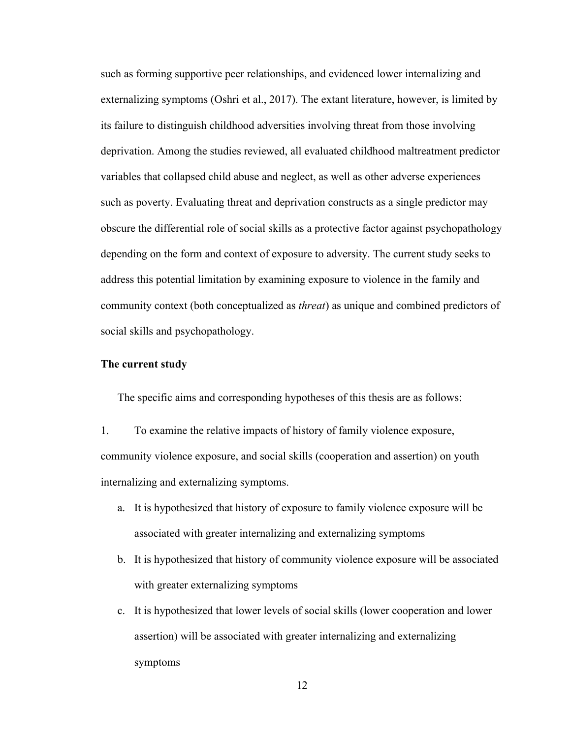such as forming supportive peer relationships, and evidenced lower internalizing and externalizing symptoms (Oshri et al., 2017). The extant literature, however, is limited by its failure to distinguish childhood adversities involving threat from those involving deprivation. Among the studies reviewed, all evaluated childhood maltreatment predictor variables that collapsed child abuse and neglect, as well as other adverse experiences such as poverty. Evaluating threat and deprivation constructs as a single predictor may obscure the differential role of social skills as a protective factor against psychopathology depending on the form and context of exposure to adversity. The current study seeks to address this potential limitation by examining exposure to violence in the family and community context (both conceptualized as *threat*) as unique and combined predictors of social skills and psychopathology.

#### **The current study**

The specific aims and corresponding hypotheses of this thesis are as follows:

- 1. To examine the relative impacts of history of family violence exposure, community violence exposure, and social skills (cooperation and assertion) on youth internalizing and externalizing symptoms.
	- a. It is hypothesized that history of exposure to family violence exposure will be associated with greater internalizing and externalizing symptoms
	- b. It is hypothesized that history of community violence exposure will be associated with greater externalizing symptoms
	- c. It is hypothesized that lower levels of social skills (lower cooperation and lower assertion) will be associated with greater internalizing and externalizing symptoms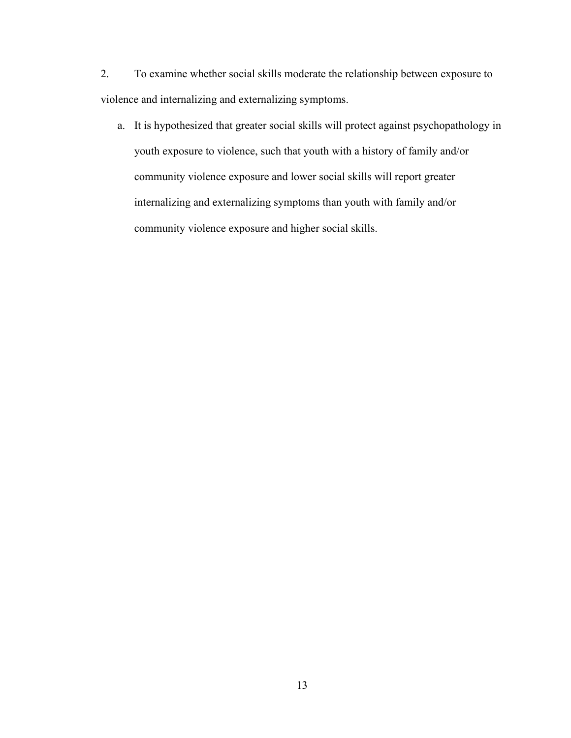2. To examine whether social skills moderate the relationship between exposure to violence and internalizing and externalizing symptoms.

a. It is hypothesized that greater social skills will protect against psychopathology in youth exposure to violence, such that youth with a history of family and/or community violence exposure and lower social skills will report greater internalizing and externalizing symptoms than youth with family and/or community violence exposure and higher social skills.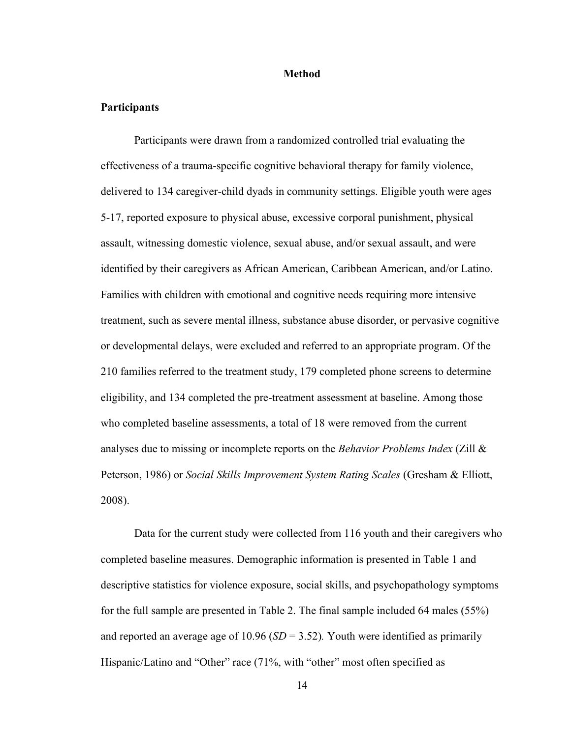### **Method**

## **Participants**

Participants were drawn from a randomized controlled trial evaluating the effectiveness of a trauma-specific cognitive behavioral therapy for family violence, delivered to 134 caregiver-child dyads in community settings. Eligible youth were ages 5-17, reported exposure to physical abuse, excessive corporal punishment, physical assault, witnessing domestic violence, sexual abuse, and/or sexual assault, and were identified by their caregivers as African American, Caribbean American, and/or Latino. Families with children with emotional and cognitive needs requiring more intensive treatment, such as severe mental illness, substance abuse disorder, or pervasive cognitive or developmental delays, were excluded and referred to an appropriate program. Of the 210 families referred to the treatment study, 179 completed phone screens to determine eligibility, and 134 completed the pre-treatment assessment at baseline. Among those who completed baseline assessments, a total of 18 were removed from the current analyses due to missing or incomplete reports on the *Behavior Problems Index* (Zill & Peterson, 1986) or *Social Skills Improvement System Rating Scales* (Gresham & Elliott, 2008).

Data for the current study were collected from 116 youth and their caregivers who completed baseline measures. Demographic information is presented in Table 1 and descriptive statistics for violence exposure, social skills, and psychopathology symptoms for the full sample are presented in Table 2. The final sample included 64 males (55%) and reported an average age of 10.96 (*SD* = 3.52)*.* Youth were identified as primarily Hispanic/Latino and "Other" race (71%, with "other" most often specified as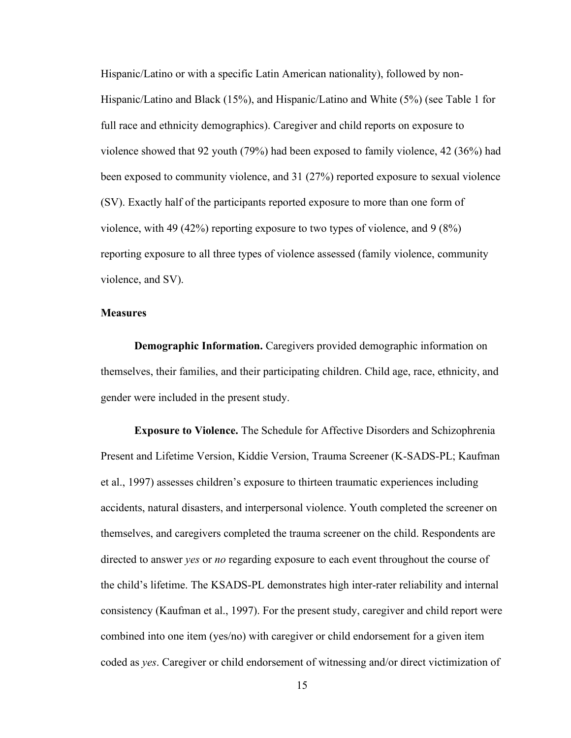Hispanic/Latino or with a specific Latin American nationality), followed by non-Hispanic/Latino and Black (15%), and Hispanic/Latino and White (5%) (see Table 1 for full race and ethnicity demographics). Caregiver and child reports on exposure to violence showed that 92 youth (79%) had been exposed to family violence, 42 (36%) had been exposed to community violence, and 31 (27%) reported exposure to sexual violence (SV). Exactly half of the participants reported exposure to more than one form of violence, with 49 (42%) reporting exposure to two types of violence, and 9 (8%) reporting exposure to all three types of violence assessed (family violence, community violence, and SV).

## **Measures**

**Demographic Information.** Caregivers provided demographic information on themselves, their families, and their participating children. Child age, race, ethnicity, and gender were included in the present study.

**Exposure to Violence.** The Schedule for Affective Disorders and Schizophrenia Present and Lifetime Version, Kiddie Version, Trauma Screener (K-SADS-PL; Kaufman et al., 1997) assesses children's exposure to thirteen traumatic experiences including accidents, natural disasters, and interpersonal violence. Youth completed the screener on themselves, and caregivers completed the trauma screener on the child. Respondents are directed to answer *yes* or *no* regarding exposure to each event throughout the course of the child's lifetime. The KSADS-PL demonstrates high inter-rater reliability and internal consistency (Kaufman et al., 1997). For the present study, caregiver and child report were combined into one item (yes/no) with caregiver or child endorsement for a given item coded as *yes*. Caregiver or child endorsement of witnessing and/or direct victimization of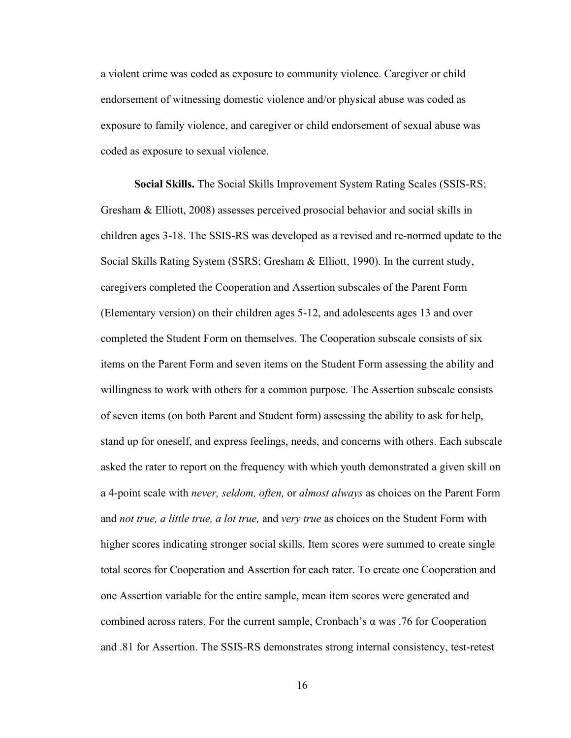a violent crime was coded as exposure to community violence. Caregiver or child endorsement of witnessing domestic violence and/or physical abuse was coded as exposure to family violence, and caregiver or child endorsement of sexual abuse was coded as exposure to sexual violence.

**Social Skills.** The Social Skills Improvement System Rating Scales (SSIS-RS; Gresham & Elliott, 2008) assesses perceived prosocial behavior and social skills in children ages 3-18. The SSIS-RS was developed as a revised and re-normed update to the Social Skills Rating System (SSRS; Gresham & Elliott, 1990). In the current study, caregivers completed the Cooperation and Assertion subscales of the Parent Form (Elementary version) on their children ages 5-12, and adolescents ages 13 and over completed the Student Form on themselves. The Cooperation subscale consists of six items on the Parent Form and seven items on the Student Form assessing the ability and willingness to work with others for a common purpose. The Assertion subscale consists of seven items (on both Parent and Student form) assessing the ability to ask for help, stand up for oneself, and express feelings, needs, and concerns with others. Each subscale asked the rater to report on the frequency with which youth demonstrated a given skill on a 4-point scale with *never, seldom, often,* or *almost always* as choices on the Parent Form and *not true, a little true, a lot true,* and *very true* as choices on the Student Form with higher scores indicating stronger social skills. Item scores were summed to create single total scores for Cooperation and Assertion for each rater. To create one Cooperation and one Assertion variable for the entire sample, mean item scores were generated and combined across raters. For the current sample, Cronbach's α was .76 for Cooperation and .81 for Assertion. The SSIS-RS demonstrates strong internal consistency, test-retest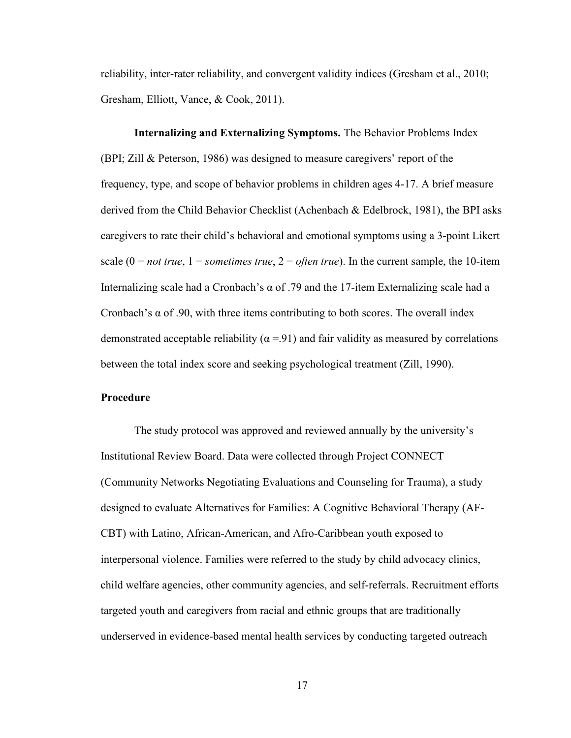reliability, inter-rater reliability, and convergent validity indices (Gresham et al., 2010; Gresham, Elliott, Vance, & Cook, 2011).

**Internalizing and Externalizing Symptoms.** The Behavior Problems Index (BPI; Zill & Peterson, 1986) was designed to measure caregivers' report of the frequency, type, and scope of behavior problems in children ages 4-17. A brief measure derived from the Child Behavior Checklist (Achenbach & Edelbrock, 1981), the BPI asks caregivers to rate their child's behavioral and emotional symptoms using a 3-point Likert scale  $(0 = not true, 1 = sometimes true, 2 = often true)$ . In the current sample, the 10-item Internalizing scale had a Cronbach's  $\alpha$  of .79 and the 17-item Externalizing scale had a Cronbach's  $\alpha$  of .90, with three items contributing to both scores. The overall index demonstrated acceptable reliability ( $\alpha$  =.91) and fair validity as measured by correlations between the total index score and seeking psychological treatment (Zill, 1990).

## **Procedure**

The study protocol was approved and reviewed annually by the university's Institutional Review Board. Data were collected through Project CONNECT (Community Networks Negotiating Evaluations and Counseling for Trauma), a study designed to evaluate Alternatives for Families: A Cognitive Behavioral Therapy (AF-CBT) with Latino, African-American, and Afro-Caribbean youth exposed to interpersonal violence. Families were referred to the study by child advocacy clinics, child welfare agencies, other community agencies, and self-referrals. Recruitment efforts targeted youth and caregivers from racial and ethnic groups that are traditionally underserved in evidence-based mental health services by conducting targeted outreach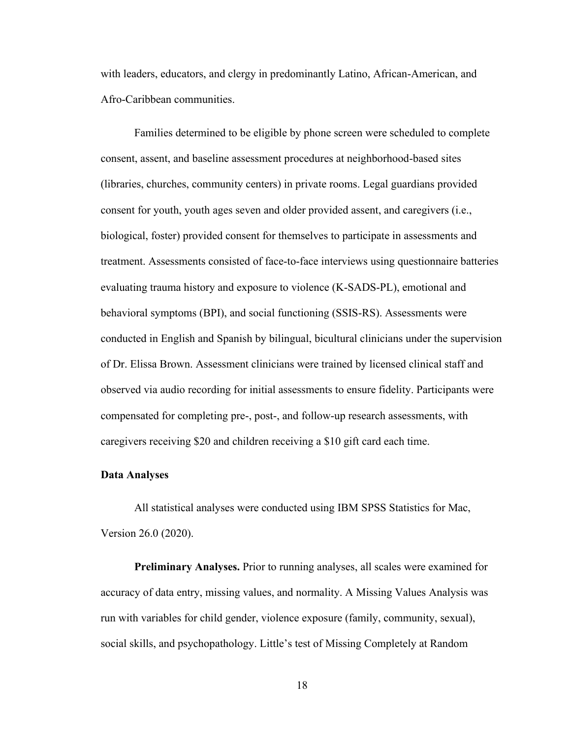with leaders, educators, and clergy in predominantly Latino, African-American, and Afro-Caribbean communities.

Families determined to be eligible by phone screen were scheduled to complete consent, assent, and baseline assessment procedures at neighborhood-based sites (libraries, churches, community centers) in private rooms. Legal guardians provided consent for youth, youth ages seven and older provided assent, and caregivers (i.e., biological, foster) provided consent for themselves to participate in assessments and treatment. Assessments consisted of face-to-face interviews using questionnaire batteries evaluating trauma history and exposure to violence (K-SADS-PL), emotional and behavioral symptoms (BPI), and social functioning (SSIS-RS). Assessments were conducted in English and Spanish by bilingual, bicultural clinicians under the supervision of Dr. Elissa Brown. Assessment clinicians were trained by licensed clinical staff and observed via audio recording for initial assessments to ensure fidelity. Participants were compensated for completing pre-, post-, and follow-up research assessments, with caregivers receiving \$20 and children receiving a \$10 gift card each time.

### **Data Analyses**

All statistical analyses were conducted using IBM SPSS Statistics for Mac, Version 26.0 (2020).

**Preliminary Analyses.** Prior to running analyses, all scales were examined for accuracy of data entry, missing values, and normality. A Missing Values Analysis was run with variables for child gender, violence exposure (family, community, sexual), social skills, and psychopathology. Little's test of Missing Completely at Random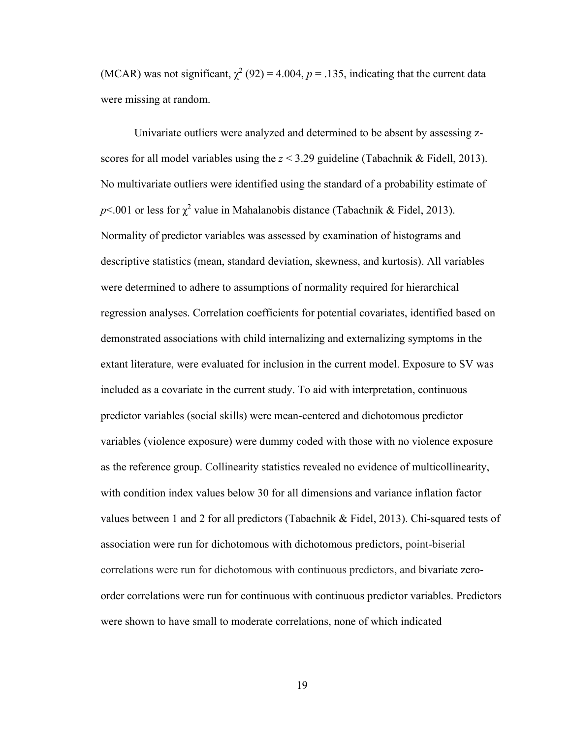(MCAR) was not significant,  $\chi^2$  (92) = 4.004, p = .135, indicating that the current data were missing at random.

Univariate outliers were analyzed and determined to be absent by assessing zscores for all model variables using the  $z < 3.29$  guideline (Tabachnik & Fidell, 2013). No multivariate outliers were identified using the standard of a probability estimate of  $p<.001$  or less for  $\chi^2$  value in Mahalanobis distance (Tabachnik & Fidel, 2013). Normality of predictor variables was assessed by examination of histograms and descriptive statistics (mean, standard deviation, skewness, and kurtosis). All variables were determined to adhere to assumptions of normality required for hierarchical regression analyses. Correlation coefficients for potential covariates, identified based on demonstrated associations with child internalizing and externalizing symptoms in the extant literature, were evaluated for inclusion in the current model. Exposure to SV was included as a covariate in the current study. To aid with interpretation, continuous predictor variables (social skills) were mean-centered and dichotomous predictor variables (violence exposure) were dummy coded with those with no violence exposure as the reference group. Collinearity statistics revealed no evidence of multicollinearity, with condition index values below 30 for all dimensions and variance inflation factor values between 1 and 2 for all predictors (Tabachnik & Fidel, 2013). Chi-squared tests of association were run for dichotomous with dichotomous predictors, point-biserial correlations were run for dichotomous with continuous predictors, and bivariate zeroorder correlations were run for continuous with continuous predictor variables. Predictors were shown to have small to moderate correlations, none of which indicated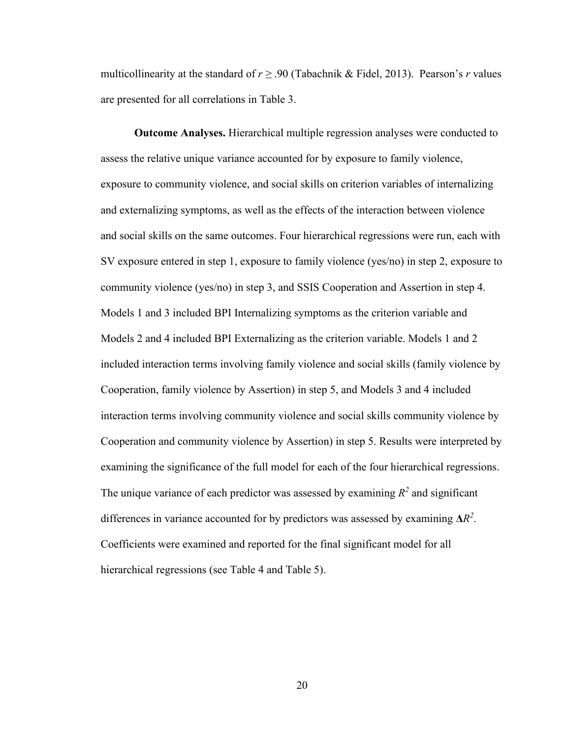multicollinearity at the standard of *r ≥* .90 (Tabachnik & Fidel, 2013). Pearson's *r* values are presented for all correlations in Table 3.

**Outcome Analyses.** Hierarchical multiple regression analyses were conducted to assess the relative unique variance accounted for by exposure to family violence, exposure to community violence, and social skills on criterion variables of internalizing and externalizing symptoms, as well as the effects of the interaction between violence and social skills on the same outcomes. Four hierarchical regressions were run, each with SV exposure entered in step 1, exposure to family violence (yes/no) in step 2, exposure to community violence (yes/no) in step 3, and SSIS Cooperation and Assertion in step 4. Models 1 and 3 included BPI Internalizing symptoms as the criterion variable and Models 2 and 4 included BPI Externalizing as the criterion variable. Models 1 and 2 included interaction terms involving family violence and social skills (family violence by Cooperation, family violence by Assertion) in step 5, and Models 3 and 4 included interaction terms involving community violence and social skills community violence by Cooperation and community violence by Assertion) in step 5. Results were interpreted by examining the significance of the full model for each of the four hierarchical regressions. The unique variance of each predictor was assessed by examining  $R^2$  and significant differences in variance accounted for by predictors was assessed by examining  $\Delta R^2$ . Coefficients were examined and reported for the final significant model for all hierarchical regressions (see Table 4 and Table 5).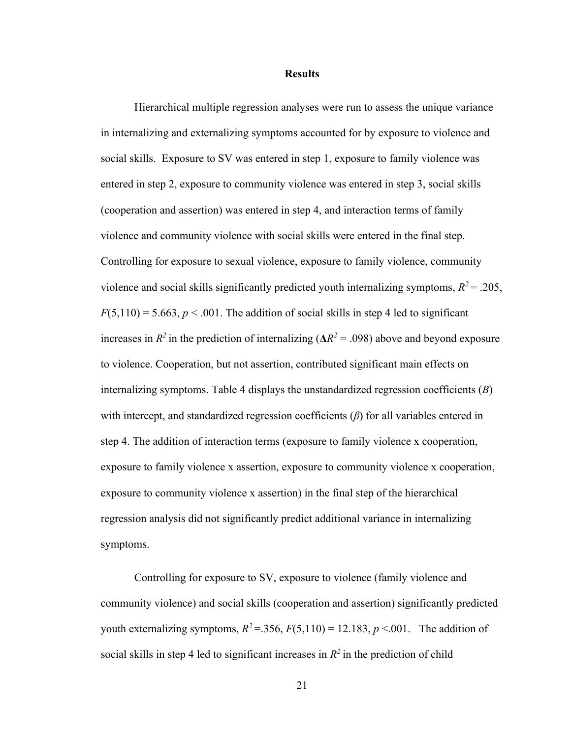#### **Results**

Hierarchical multiple regression analyses were run to assess the unique variance in internalizing and externalizing symptoms accounted for by exposure to violence and social skills. Exposure to SV was entered in step 1, exposure to family violence was entered in step 2, exposure to community violence was entered in step 3, social skills (cooperation and assertion) was entered in step 4, and interaction terms of family violence and community violence with social skills were entered in the final step. Controlling for exposure to sexual violence, exposure to family violence, community violence and social skills significantly predicted youth internalizing symptoms,  $R^2$  = .205,  $F(5,110) = 5.663, p < .001$ . The addition of social skills in step 4 led to significant increases in  $R^2$  in the prediction of internalizing ( $\Delta R^2 = .098$ ) above and beyond exposure to violence. Cooperation, but not assertion, contributed significant main effects on internalizing symptoms. Table 4 displays the unstandardized regression coefficients (*B*) with intercept, and standardized regression coefficients (*β*) for all variables entered in step 4. The addition of interaction terms (exposure to family violence x cooperation, exposure to family violence x assertion, exposure to community violence x cooperation, exposure to community violence x assertion) in the final step of the hierarchical regression analysis did not significantly predict additional variance in internalizing symptoms.

Controlling for exposure to SV, exposure to violence (family violence and community violence) and social skills (cooperation and assertion) significantly predicted youth externalizing symptoms,  $R^2 = 0.356$ ,  $F(5,110) = 12.183$ ,  $p < 0.01$ . The addition of social skills in step 4 led to significant increases in  $R^2$  in the prediction of child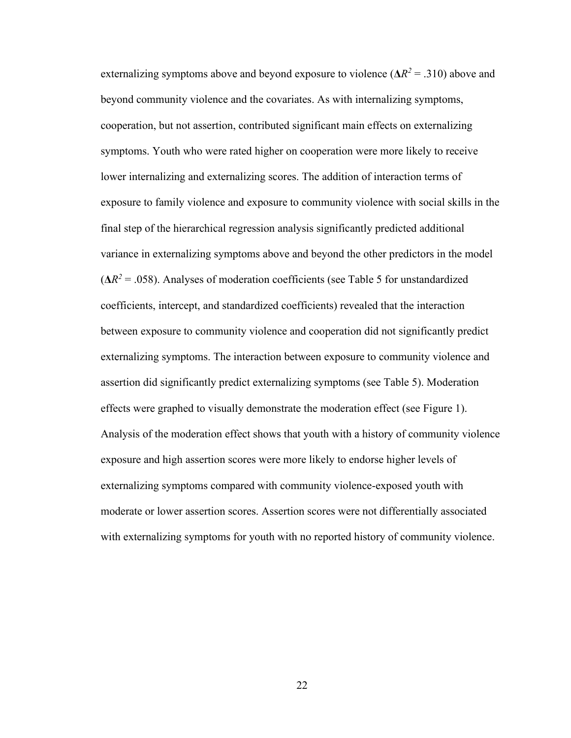externalizing symptoms above and beyond exposure to violence ( $\Delta R^2 = .310$ ) above and beyond community violence and the covariates. As with internalizing symptoms, cooperation, but not assertion, contributed significant main effects on externalizing symptoms. Youth who were rated higher on cooperation were more likely to receive lower internalizing and externalizing scores. The addition of interaction terms of exposure to family violence and exposure to community violence with social skills in the final step of the hierarchical regression analysis significantly predicted additional variance in externalizing symptoms above and beyond the other predictors in the model  $(\Delta R^2 = .058)$ . Analyses of moderation coefficients (see Table 5 for unstandardized coefficients, intercept, and standardized coefficients) revealed that the interaction between exposure to community violence and cooperation did not significantly predict externalizing symptoms. The interaction between exposure to community violence and assertion did significantly predict externalizing symptoms (see Table 5). Moderation effects were graphed to visually demonstrate the moderation effect (see Figure 1). Analysis of the moderation effect shows that youth with a history of community violence exposure and high assertion scores were more likely to endorse higher levels of externalizing symptoms compared with community violence-exposed youth with moderate or lower assertion scores. Assertion scores were not differentially associated with externalizing symptoms for youth with no reported history of community violence.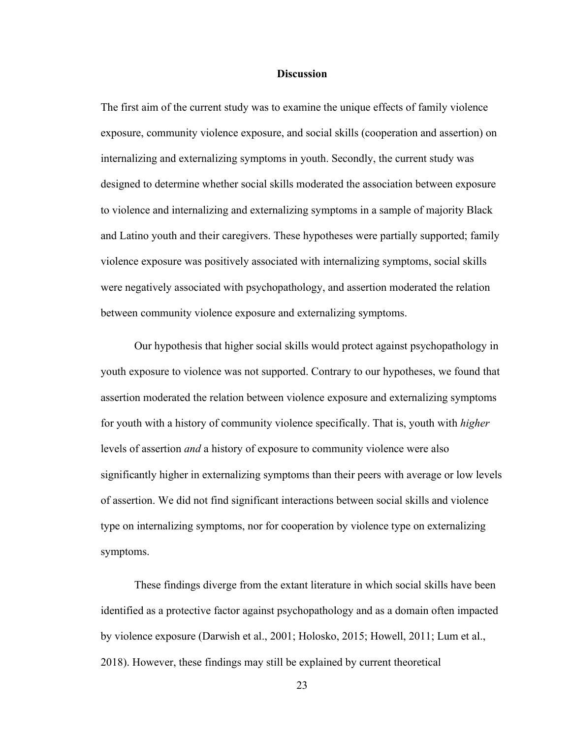## **Discussion**

The first aim of the current study was to examine the unique effects of family violence exposure, community violence exposure, and social skills (cooperation and assertion) on internalizing and externalizing symptoms in youth. Secondly, the current study was designed to determine whether social skills moderated the association between exposure to violence and internalizing and externalizing symptoms in a sample of majority Black and Latino youth and their caregivers. These hypotheses were partially supported; family violence exposure was positively associated with internalizing symptoms, social skills were negatively associated with psychopathology, and assertion moderated the relation between community violence exposure and externalizing symptoms.

Our hypothesis that higher social skills would protect against psychopathology in youth exposure to violence was not supported. Contrary to our hypotheses, we found that assertion moderated the relation between violence exposure and externalizing symptoms for youth with a history of community violence specifically. That is, youth with *higher* levels of assertion *and* a history of exposure to community violence were also significantly higher in externalizing symptoms than their peers with average or low levels of assertion. We did not find significant interactions between social skills and violence type on internalizing symptoms, nor for cooperation by violence type on externalizing symptoms.

These findings diverge from the extant literature in which social skills have been identified as a protective factor against psychopathology and as a domain often impacted by violence exposure (Darwish et al., 2001; Holosko, 2015; Howell, 2011; Lum et al., 2018). However, these findings may still be explained by current theoretical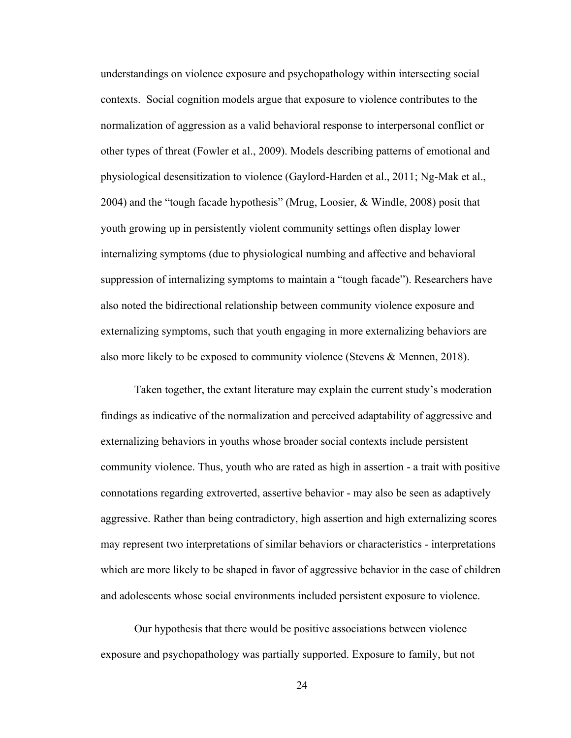understandings on violence exposure and psychopathology within intersecting social contexts. Social cognition models argue that exposure to violence contributes to the normalization of aggression as a valid behavioral response to interpersonal conflict or other types of threat (Fowler et al., 2009). Models describing patterns of emotional and physiological desensitization to violence (Gaylord-Harden et al., 2011; Ng-Mak et al., 2004) and the "tough facade hypothesis" (Mrug, Loosier, & Windle, 2008) posit that youth growing up in persistently violent community settings often display lower internalizing symptoms (due to physiological numbing and affective and behavioral suppression of internalizing symptoms to maintain a "tough facade"). Researchers have also noted the bidirectional relationship between community violence exposure and externalizing symptoms, such that youth engaging in more externalizing behaviors are also more likely to be exposed to community violence (Stevens & Mennen, 2018).

Taken together, the extant literature may explain the current study's moderation findings as indicative of the normalization and perceived adaptability of aggressive and externalizing behaviors in youths whose broader social contexts include persistent community violence. Thus, youth who are rated as high in assertion - a trait with positive connotations regarding extroverted, assertive behavior - may also be seen as adaptively aggressive. Rather than being contradictory, high assertion and high externalizing scores may represent two interpretations of similar behaviors or characteristics - interpretations which are more likely to be shaped in favor of aggressive behavior in the case of children and adolescents whose social environments included persistent exposure to violence.

Our hypothesis that there would be positive associations between violence exposure and psychopathology was partially supported. Exposure to family, but not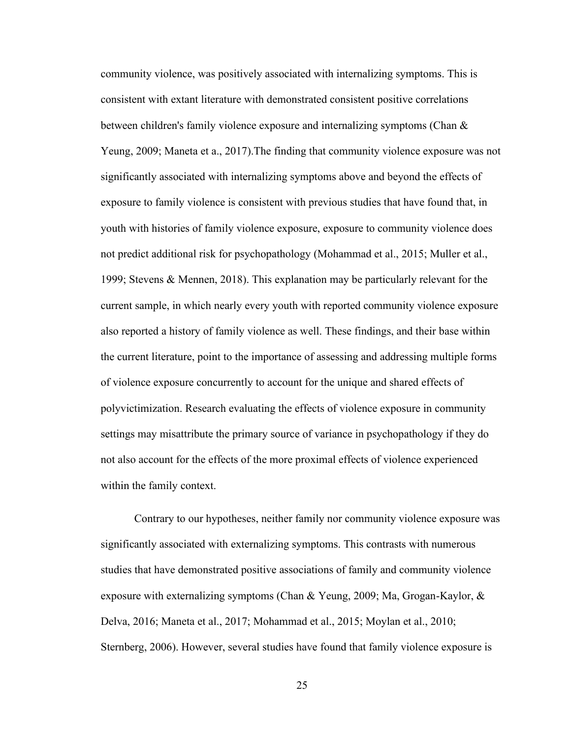community violence, was positively associated with internalizing symptoms. This is consistent with extant literature with demonstrated consistent positive correlations between children's family violence exposure and internalizing symptoms (Chan & Yeung, 2009; Maneta et a., 2017).The finding that community violence exposure was not significantly associated with internalizing symptoms above and beyond the effects of exposure to family violence is consistent with previous studies that have found that, in youth with histories of family violence exposure, exposure to community violence does not predict additional risk for psychopathology (Mohammad et al., 2015; Muller et al., 1999; Stevens & Mennen, 2018). This explanation may be particularly relevant for the current sample, in which nearly every youth with reported community violence exposure also reported a history of family violence as well. These findings, and their base within the current literature, point to the importance of assessing and addressing multiple forms of violence exposure concurrently to account for the unique and shared effects of polyvictimization. Research evaluating the effects of violence exposure in community settings may misattribute the primary source of variance in psychopathology if they do not also account for the effects of the more proximal effects of violence experienced within the family context.

Contrary to our hypotheses, neither family nor community violence exposure was significantly associated with externalizing symptoms. This contrasts with numerous studies that have demonstrated positive associations of family and community violence exposure with externalizing symptoms (Chan & Yeung, 2009; Ma, Grogan-Kaylor,  $\&$ Delva, 2016; Maneta et al., 2017; Mohammad et al., 2015; Moylan et al., 2010; Sternberg, 2006). However, several studies have found that family violence exposure is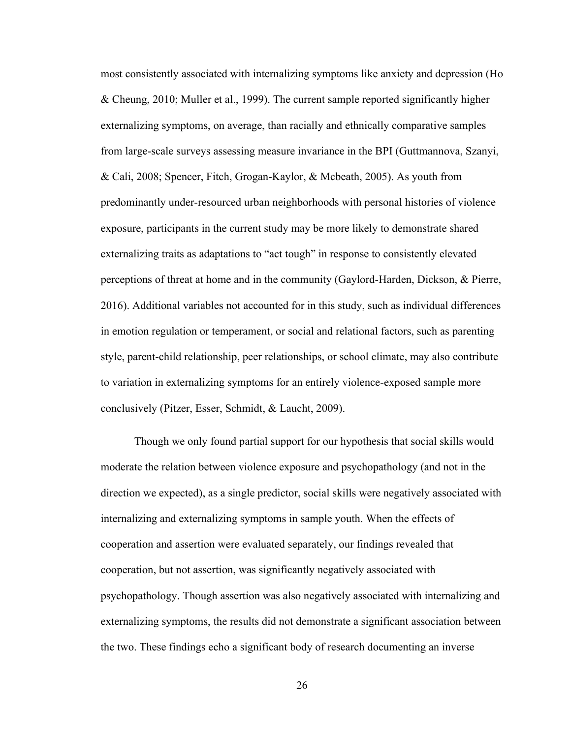most consistently associated with internalizing symptoms like anxiety and depression (Ho & Cheung, 2010; Muller et al., 1999). The current sample reported significantly higher externalizing symptoms, on average, than racially and ethnically comparative samples from large-scale surveys assessing measure invariance in the BPI (Guttmannova, Szanyi, & Cali, 2008; Spencer, Fitch, Grogan-Kaylor, & Mcbeath, 2005). As youth from predominantly under-resourced urban neighborhoods with personal histories of violence exposure, participants in the current study may be more likely to demonstrate shared externalizing traits as adaptations to "act tough" in response to consistently elevated perceptions of threat at home and in the community (Gaylord-Harden, Dickson, & Pierre, 2016). Additional variables not accounted for in this study, such as individual differences in emotion regulation or temperament, or social and relational factors, such as parenting style, parent-child relationship, peer relationships, or school climate, may also contribute to variation in externalizing symptoms for an entirely violence-exposed sample more conclusively (Pitzer, Esser, Schmidt, & Laucht, 2009).

Though we only found partial support for our hypothesis that social skills would moderate the relation between violence exposure and psychopathology (and not in the direction we expected), as a single predictor, social skills were negatively associated with internalizing and externalizing symptoms in sample youth. When the effects of cooperation and assertion were evaluated separately, our findings revealed that cooperation, but not assertion, was significantly negatively associated with psychopathology. Though assertion was also negatively associated with internalizing and externalizing symptoms, the results did not demonstrate a significant association between the two. These findings echo a significant body of research documenting an inverse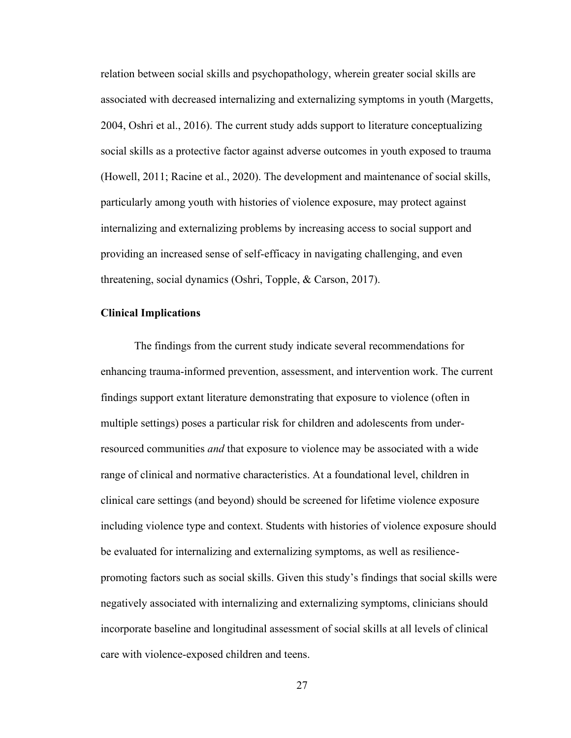relation between social skills and psychopathology, wherein greater social skills are associated with decreased internalizing and externalizing symptoms in youth (Margetts, 2004, Oshri et al., 2016). The current study adds support to literature conceptualizing social skills as a protective factor against adverse outcomes in youth exposed to trauma (Howell, 2011; Racine et al., 2020). The development and maintenance of social skills, particularly among youth with histories of violence exposure, may protect against internalizing and externalizing problems by increasing access to social support and providing an increased sense of self-efficacy in navigating challenging, and even threatening, social dynamics (Oshri, Topple, & Carson, 2017).

## **Clinical Implications**

The findings from the current study indicate several recommendations for enhancing trauma-informed prevention, assessment, and intervention work. The current findings support extant literature demonstrating that exposure to violence (often in multiple settings) poses a particular risk for children and adolescents from underresourced communities *and* that exposure to violence may be associated with a wide range of clinical and normative characteristics. At a foundational level, children in clinical care settings (and beyond) should be screened for lifetime violence exposure including violence type and context. Students with histories of violence exposure should be evaluated for internalizing and externalizing symptoms, as well as resiliencepromoting factors such as social skills. Given this study's findings that social skills were negatively associated with internalizing and externalizing symptoms, clinicians should incorporate baseline and longitudinal assessment of social skills at all levels of clinical care with violence-exposed children and teens.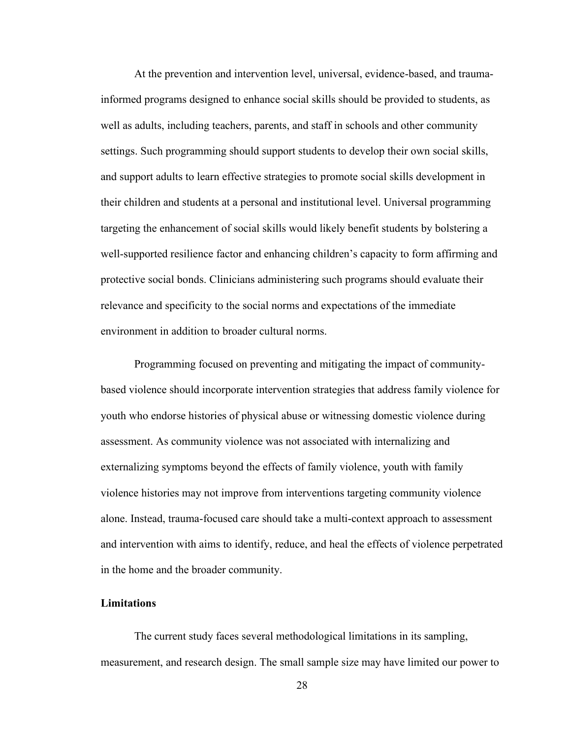At the prevention and intervention level, universal, evidence-based, and traumainformed programs designed to enhance social skills should be provided to students, as well as adults, including teachers, parents, and staff in schools and other community settings. Such programming should support students to develop their own social skills, and support adults to learn effective strategies to promote social skills development in their children and students at a personal and institutional level. Universal programming targeting the enhancement of social skills would likely benefit students by bolstering a well-supported resilience factor and enhancing children's capacity to form affirming and protective social bonds. Clinicians administering such programs should evaluate their relevance and specificity to the social norms and expectations of the immediate environment in addition to broader cultural norms.

Programming focused on preventing and mitigating the impact of communitybased violence should incorporate intervention strategies that address family violence for youth who endorse histories of physical abuse or witnessing domestic violence during assessment. As community violence was not associated with internalizing and externalizing symptoms beyond the effects of family violence, youth with family violence histories may not improve from interventions targeting community violence alone. Instead, trauma-focused care should take a multi-context approach to assessment and intervention with aims to identify, reduce, and heal the effects of violence perpetrated in the home and the broader community.

### **Limitations**

The current study faces several methodological limitations in its sampling, measurement, and research design. The small sample size may have limited our power to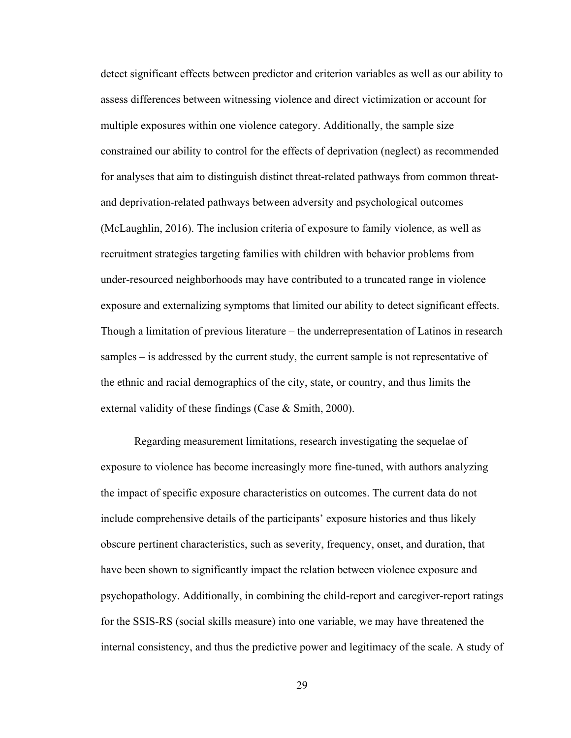detect significant effects between predictor and criterion variables as well as our ability to assess differences between witnessing violence and direct victimization or account for multiple exposures within one violence category. Additionally, the sample size constrained our ability to control for the effects of deprivation (neglect) as recommended for analyses that aim to distinguish distinct threat-related pathways from common threatand deprivation-related pathways between adversity and psychological outcomes (McLaughlin, 2016). The inclusion criteria of exposure to family violence, as well as recruitment strategies targeting families with children with behavior problems from under-resourced neighborhoods may have contributed to a truncated range in violence exposure and externalizing symptoms that limited our ability to detect significant effects. Though a limitation of previous literature – the underrepresentation of Latinos in research samples – is addressed by the current study, the current sample is not representative of the ethnic and racial demographics of the city, state, or country, and thus limits the external validity of these findings (Case & Smith, 2000).

Regarding measurement limitations, research investigating the sequelae of exposure to violence has become increasingly more fine-tuned, with authors analyzing the impact of specific exposure characteristics on outcomes. The current data do not include comprehensive details of the participants' exposure histories and thus likely obscure pertinent characteristics, such as severity, frequency, onset, and duration, that have been shown to significantly impact the relation between violence exposure and psychopathology. Additionally, in combining the child-report and caregiver-report ratings for the SSIS-RS (social skills measure) into one variable, we may have threatened the internal consistency, and thus the predictive power and legitimacy of the scale. A study of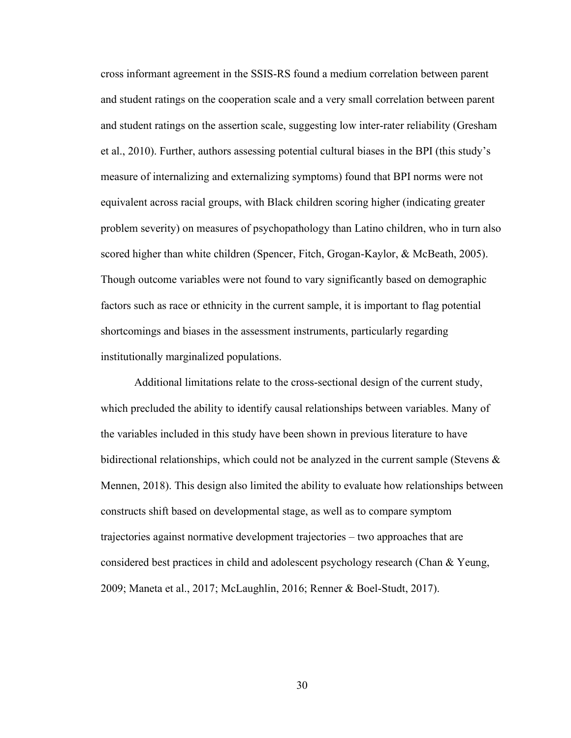cross informant agreement in the SSIS-RS found a medium correlation between parent and student ratings on the cooperation scale and a very small correlation between parent and student ratings on the assertion scale, suggesting low inter-rater reliability (Gresham et al., 2010). Further, authors assessing potential cultural biases in the BPI (this study's measure of internalizing and externalizing symptoms) found that BPI norms were not equivalent across racial groups, with Black children scoring higher (indicating greater problem severity) on measures of psychopathology than Latino children, who in turn also scored higher than white children (Spencer, Fitch, Grogan-Kaylor, & McBeath, 2005). Though outcome variables were not found to vary significantly based on demographic factors such as race or ethnicity in the current sample, it is important to flag potential shortcomings and biases in the assessment instruments, particularly regarding institutionally marginalized populations.

Additional limitations relate to the cross-sectional design of the current study, which precluded the ability to identify causal relationships between variables. Many of the variables included in this study have been shown in previous literature to have bidirectional relationships, which could not be analyzed in the current sample (Stevens  $\&$ Mennen, 2018). This design also limited the ability to evaluate how relationships between constructs shift based on developmental stage, as well as to compare symptom trajectories against normative development trajectories – two approaches that are considered best practices in child and adolescent psychology research (Chan & Yeung, 2009; Maneta et al., 2017; McLaughlin, 2016; Renner & Boel-Studt, 2017).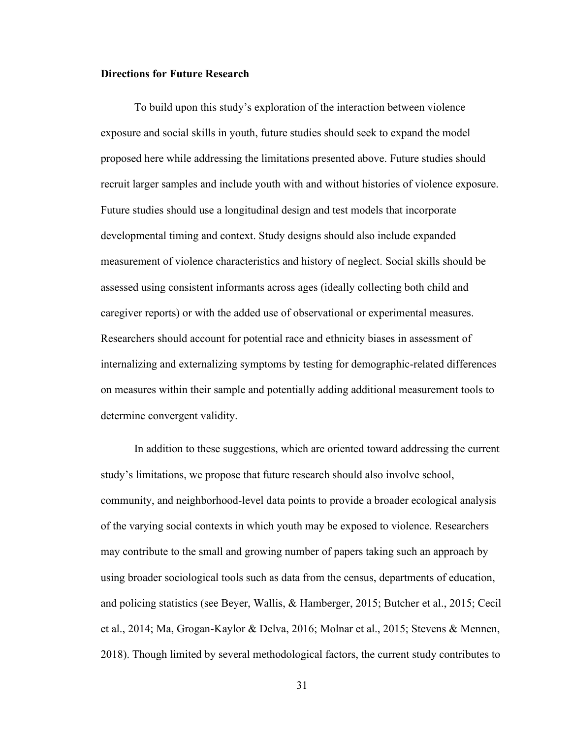## **Directions for Future Research**

To build upon this study's exploration of the interaction between violence exposure and social skills in youth, future studies should seek to expand the model proposed here while addressing the limitations presented above. Future studies should recruit larger samples and include youth with and without histories of violence exposure. Future studies should use a longitudinal design and test models that incorporate developmental timing and context. Study designs should also include expanded measurement of violence characteristics and history of neglect. Social skills should be assessed using consistent informants across ages (ideally collecting both child and caregiver reports) or with the added use of observational or experimental measures. Researchers should account for potential race and ethnicity biases in assessment of internalizing and externalizing symptoms by testing for demographic-related differences on measures within their sample and potentially adding additional measurement tools to determine convergent validity.

In addition to these suggestions, which are oriented toward addressing the current study's limitations, we propose that future research should also involve school, community, and neighborhood-level data points to provide a broader ecological analysis of the varying social contexts in which youth may be exposed to violence. Researchers may contribute to the small and growing number of papers taking such an approach by using broader sociological tools such as data from the census, departments of education, and policing statistics (see Beyer, Wallis, & Hamberger, 2015; Butcher et al., 2015; Cecil et al., 2014; Ma, Grogan-Kaylor & Delva, 2016; Molnar et al., 2015; Stevens & Mennen, 2018). Though limited by several methodological factors, the current study contributes to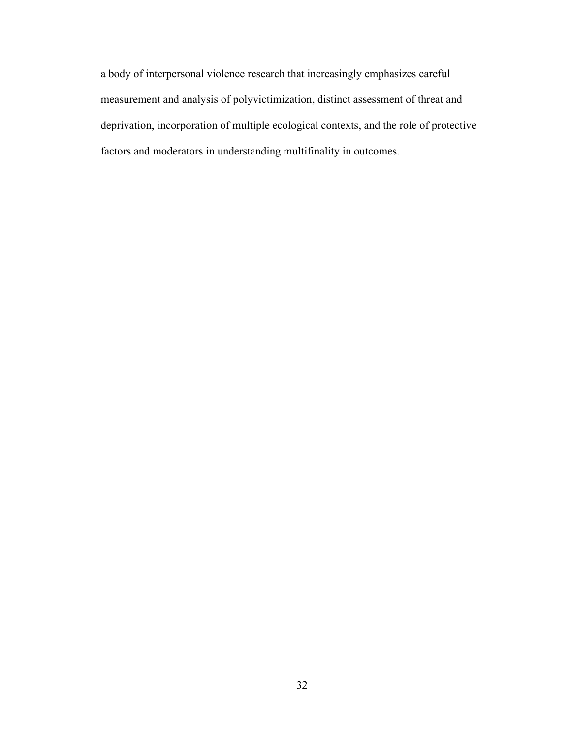a body of interpersonal violence research that increasingly emphasizes careful measurement and analysis of polyvictimization, distinct assessment of threat and deprivation, incorporation of multiple ecological contexts, and the role of protective factors and moderators in understanding multifinality in outcomes.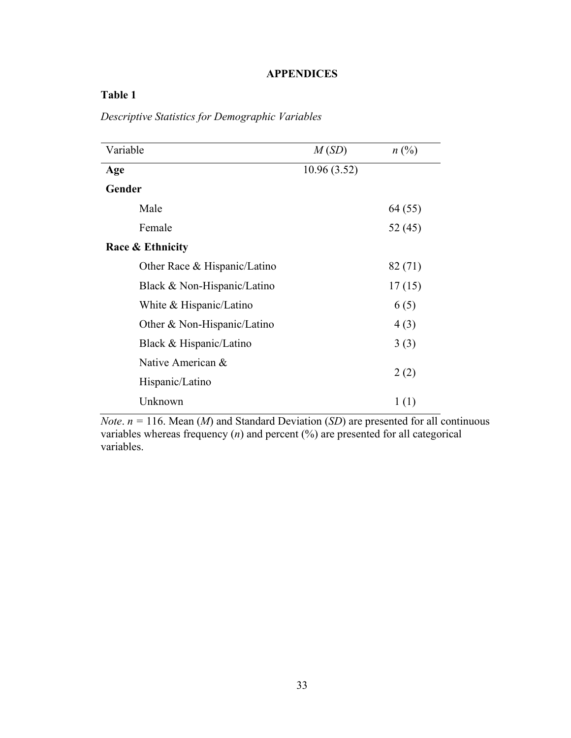# **APPENDICES**

# **Table 1**

*Descriptive Statistics for Demographic Variables* 

| Variable                     | M(SD)       | $n(^{0}\!\!/\!_0)$ |
|------------------------------|-------------|--------------------|
| Age                          | 10.96(3.52) |                    |
| Gender                       |             |                    |
| Male                         |             | 64 (55)            |
| Female                       |             | 52 (45)            |
| <b>Race &amp; Ethnicity</b>  |             |                    |
| Other Race & Hispanic/Latino |             | 82 (71)            |
| Black & Non-Hispanic/Latino  |             | 17(15)             |
| White & Hispanic/Latino      |             | 6(5)               |
| Other & Non-Hispanic/Latino  |             | 4(3)               |
| Black & Hispanic/Latino      |             | 3(3)               |
| Native American &            |             |                    |
| Hispanic/Latino              |             | 2(2)               |
| Unknown                      |             | 1(1)               |

*Note.*  $n = 116$ . Mean (*M*) and Standard Deviation (*SD*) are presented for all continuous variables whereas frequency (*n*) and percent (%) are presented for all categorical variables.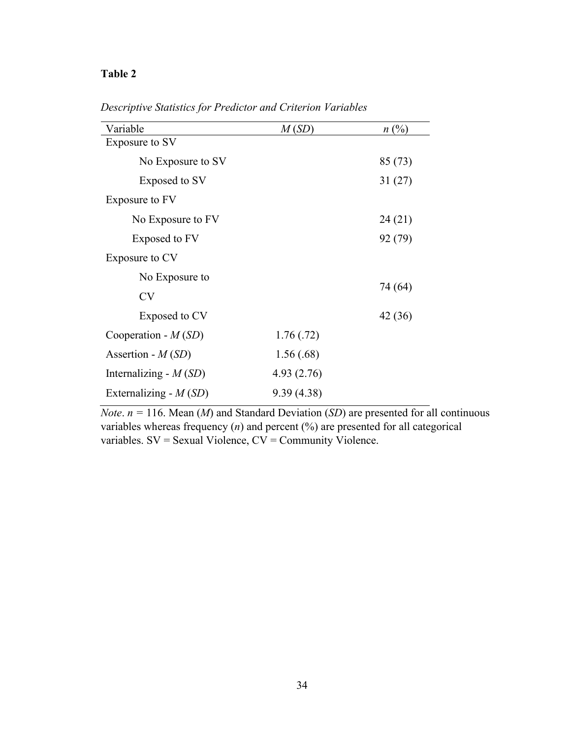| Variable                | M(SD)      | n(%)    |
|-------------------------|------------|---------|
| Exposure to SV          |            |         |
| No Exposure to SV       |            | 85 (73) |
| Exposed to SV           |            | 31(27)  |
| Exposure to FV          |            |         |
| No Exposure to FV       |            | 24(21)  |
| Exposed to FV           |            | 92 (79) |
| Exposure to CV          |            |         |
| No Exposure to          |            |         |
| <b>CV</b>               |            | 74 (64) |
| Exposed to CV           |            | 42 (36) |
| Cooperation - $M(SD)$   | 1.76(0.72) |         |
| Assertion - $M(SD)$     | 1.56(.68)  |         |
| Internalizing - $M(SD)$ | 4.93(2.76) |         |
| Externalizing - $M(SD)$ | 9.39(4.38) |         |

*Descriptive Statistics for Predictor and Criterion Variables*

*Note.*  $n = 116$ . Mean (*M*) and Standard Deviation (*SD*) are presented for all continuous variables whereas frequency (*n*) and percent (%) are presented for all categorical variables. SV = Sexual Violence, CV = Community Violence.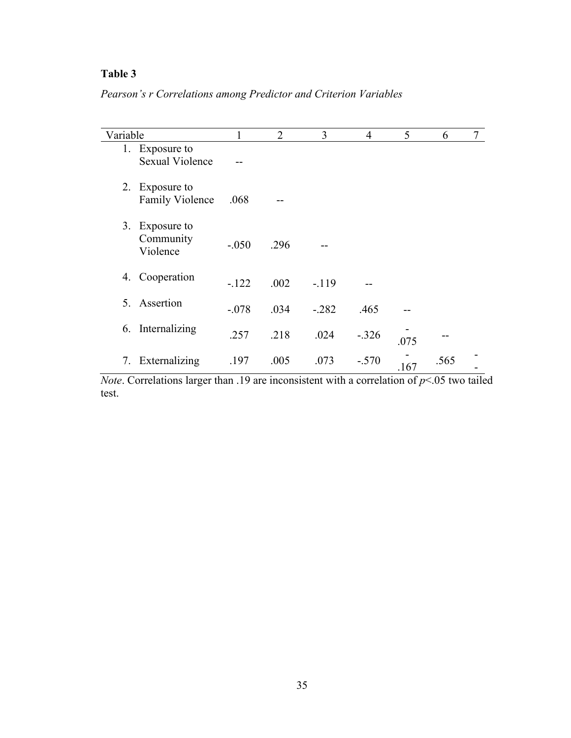*Pearson's r Correlations among Predictor and Criterion Variables*

| Variable |                                          | 1       | $\overline{2}$ | 3       | $\overline{4}$ | 5    | 6    | 7 |
|----------|------------------------------------------|---------|----------------|---------|----------------|------|------|---|
|          | 1. Exposure to<br><b>Sexual Violence</b> |         |                |         |                |      |      |   |
| 2.       | Exposure to<br><b>Family Violence</b>    | .068    |                |         |                |      |      |   |
|          | 3. Exposure to<br>Community<br>Violence  | $-.050$ | .296           |         |                |      |      |   |
| 4.       | Cooperation                              | $-.122$ | .002           | $-.119$ |                |      |      |   |
| 5.       | Assertion                                | $-.078$ | .034           | $-.282$ | .465           |      |      |   |
| 6.       | Internalizing                            | .257    | .218           | .024    | $-.326$        | .075 |      |   |
| 7.       | Externalizing                            | .197    | .005           | .073    | $-.570$        | .167 | .565 |   |

*Note*. Correlations larger than .19 are inconsistent with a correlation of *p*<.05 two tailed test.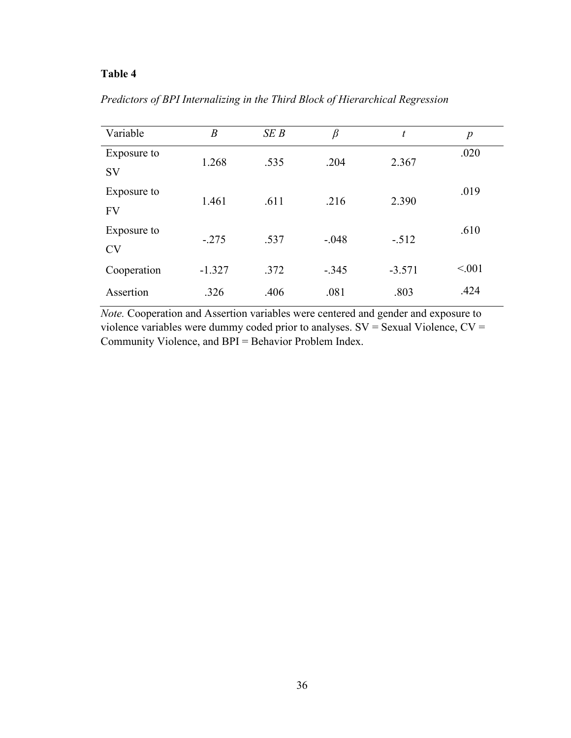|  | Predictors of BPI Internalizing in the Third Block of Hierarchical Regression |  |
|--|-------------------------------------------------------------------------------|--|
|  |                                                                               |  |

| Variable    | $\boldsymbol{B}$ | SEB  | $\beta$ | t        | $\boldsymbol{p}$ |
|-------------|------------------|------|---------|----------|------------------|
| Exposure to | 1.268            | .535 | .204    | 2.367    | .020             |
| <b>SV</b>   |                  |      |         |          |                  |
| Exposure to | 1.461            | .611 | .216    | 2.390    | .019             |
| <b>FV</b>   |                  |      |         |          |                  |
| Exposure to | $-.275$          | .537 | $-.048$ | $-.512$  | .610             |
| <b>CV</b>   |                  |      |         |          |                  |
| Cooperation | $-1.327$         | .372 | $-.345$ | $-3.571$ | < 0.01           |
| Assertion   | .326             | .406 | .081    | .803     | .424             |

*Note.* Cooperation and Assertion variables were centered and gender and exposure to violence variables were dummy coded prior to analyses. SV = Sexual Violence, CV = Community Violence, and BPI = Behavior Problem Index.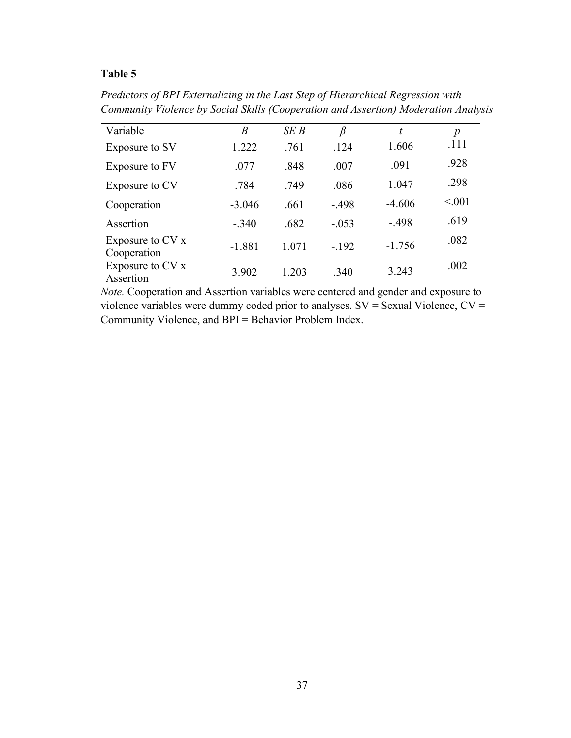*Predictors of BPI Externalizing in the Last Step of Hierarchical Regression with Community Violence by Social Skills (Cooperation and Assertion) Moderation Analysis* 

| Variable                          | $\boldsymbol{B}$ | SEB   |         | t        |         |
|-----------------------------------|------------------|-------|---------|----------|---------|
| Exposure to SV                    | 1.222            | .761  | .124    | 1.606    | .111    |
| Exposure to FV                    | .077             | .848  | .007    | .091     | .928    |
| Exposure to CV                    | .784             | .749  | .086    | 1.047    | .298    |
| Cooperation                       | $-3.046$         | .661  | $-.498$ | $-4.606$ | < 0.001 |
| Assertion                         | $-.340$          | .682  | $-.053$ | $-.498$  | .619    |
| Exposure to $CV x$<br>Cooperation | $-1.881$         | 1.071 | $-.192$ | $-1.756$ | .082    |
| Exposure to CV x<br>Assertion     | 3.902            | 1.203 | .340    | 3.243    | .002    |

*Note.* Cooperation and Assertion variables were centered and gender and exposure to violence variables were dummy coded prior to analyses. SV = Sexual Violence, CV = Community Violence, and BPI = Behavior Problem Index.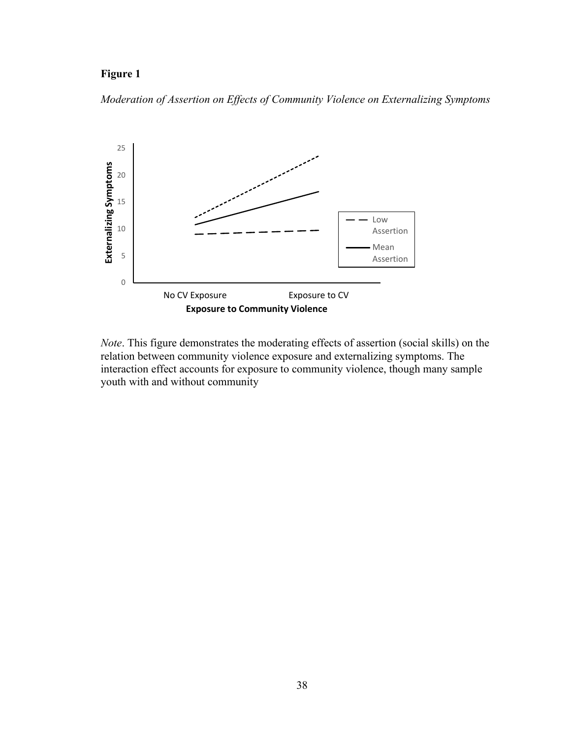# **Figure 1**

*Moderation of Assertion on Effects of Community Violence on Externalizing Symptoms*



*Note*. This figure demonstrates the moderating effects of assertion (social skills) on the relation between community violence exposure and externalizing symptoms. The interaction effect accounts for exposure to community violence, though many sample youth with and without community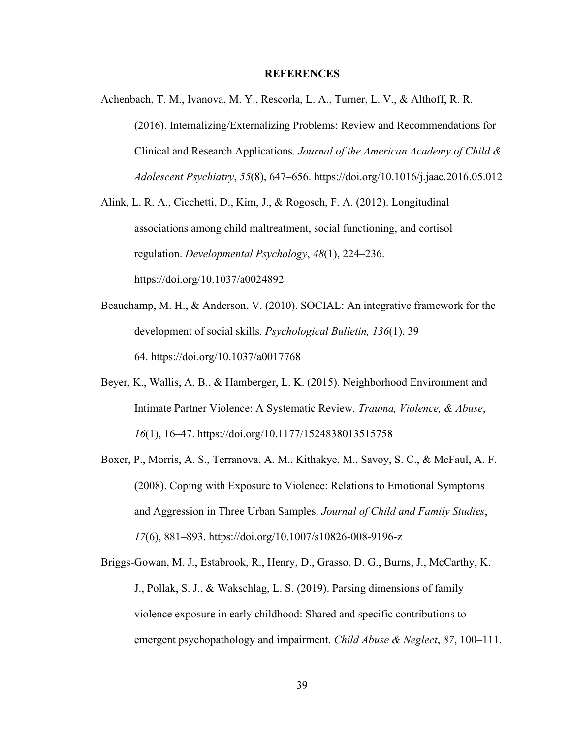## **REFERENCES**

Achenbach, T. M., Ivanova, M. Y., Rescorla, L. A., Turner, L. V., & Althoff, R. R. (2016). Internalizing/Externalizing Problems: Review and Recommendations for Clinical and Research Applications. *Journal of the American Academy of Child & Adolescent Psychiatry*, *55*(8), 647–656. https://doi.org/10.1016/j.jaac.2016.05.012

Alink, L. R. A., Cicchetti, D., Kim, J., & Rogosch, F. A. (2012). Longitudinal associations among child maltreatment, social functioning, and cortisol regulation. *Developmental Psychology*, *48*(1), 224–236. https://doi.org/10.1037/a0024892

- Beauchamp, M. H., & Anderson, V. (2010). SOCIAL: An integrative framework for the development of social skills. *Psychological Bulletin, 136*(1), 39– 64. https://doi.org/10.1037/a0017768
- Beyer, K., Wallis, A. B., & Hamberger, L. K. (2015). Neighborhood Environment and Intimate Partner Violence: A Systematic Review. *Trauma, Violence, & Abuse*, *16*(1), 16–47. https://doi.org/10.1177/1524838013515758
- Boxer, P., Morris, A. S., Terranova, A. M., Kithakye, M., Savoy, S. C., & McFaul, A. F. (2008). Coping with Exposure to Violence: Relations to Emotional Symptoms and Aggression in Three Urban Samples. *Journal of Child and Family Studies*, *17*(6), 881–893. https://doi.org/10.1007/s10826-008-9196-z

Briggs-Gowan, M. J., Estabrook, R., Henry, D., Grasso, D. G., Burns, J., McCarthy, K. J., Pollak, S. J., & Wakschlag, L. S. (2019). Parsing dimensions of family violence exposure in early childhood: Shared and specific contributions to emergent psychopathology and impairment. *Child Abuse & Neglect*, *87*, 100–111.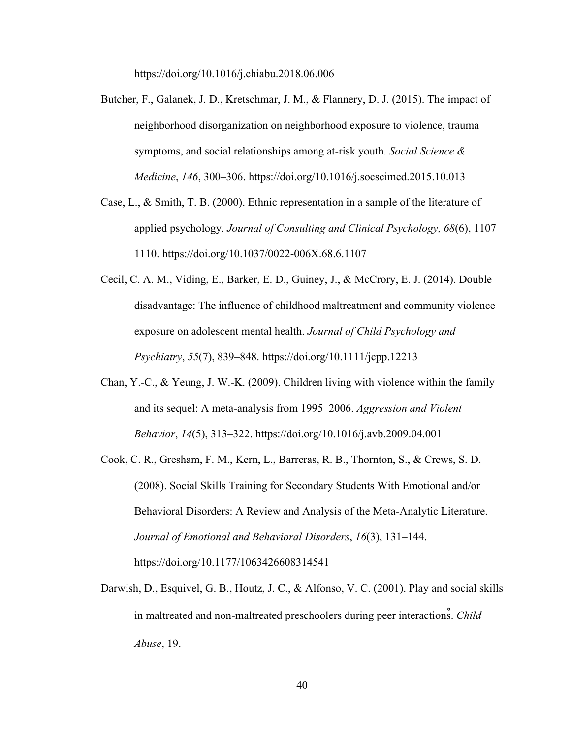https://doi.org/10.1016/j.chiabu.2018.06.006

- Butcher, F., Galanek, J. D., Kretschmar, J. M., & Flannery, D. J. (2015). The impact of neighborhood disorganization on neighborhood exposure to violence, trauma symptoms, and social relationships among at-risk youth. *Social Science & Medicine*, *146*, 300–306. https://doi.org/10.1016/j.socscimed.2015.10.013
- Case, L., & Smith, T. B. (2000). Ethnic representation in a sample of the literature of applied psychology. *Journal of Consulting and Clinical Psychology, 68*(6), 1107– 1110. https://doi.org/10.1037/0022-006X.68.6.1107
- Cecil, C. A. M., Viding, E., Barker, E. D., Guiney, J., & McCrory, E. J. (2014). Double disadvantage: The influence of childhood maltreatment and community violence exposure on adolescent mental health. *Journal of Child Psychology and Psychiatry*, *55*(7), 839–848. https://doi.org/10.1111/jcpp.12213
- Chan, Y.-C., & Yeung, J. W.-K. (2009). Children living with violence within the family and its sequel: A meta-analysis from 1995–2006. *Aggression and Violent Behavior*, *14*(5), 313–322. https://doi.org/10.1016/j.avb.2009.04.001
- Cook, C. R., Gresham, F. M., Kern, L., Barreras, R. B., Thornton, S., & Crews, S. D. (2008). Social Skills Training for Secondary Students With Emotional and/or Behavioral Disorders: A Review and Analysis of the Meta-Analytic Literature. *Journal of Emotional and Behavioral Disorders*, *16*(3), 131–144. https://doi.org/10.1177/1063426608314541
- Darwish, D., Esquivel, G. B., Houtz, J. C., & Alfonso, V. C. (2001). Play and social skills in maltreated and non-maltreated preschoolers during peer interactions. *Child Abuse*, 19.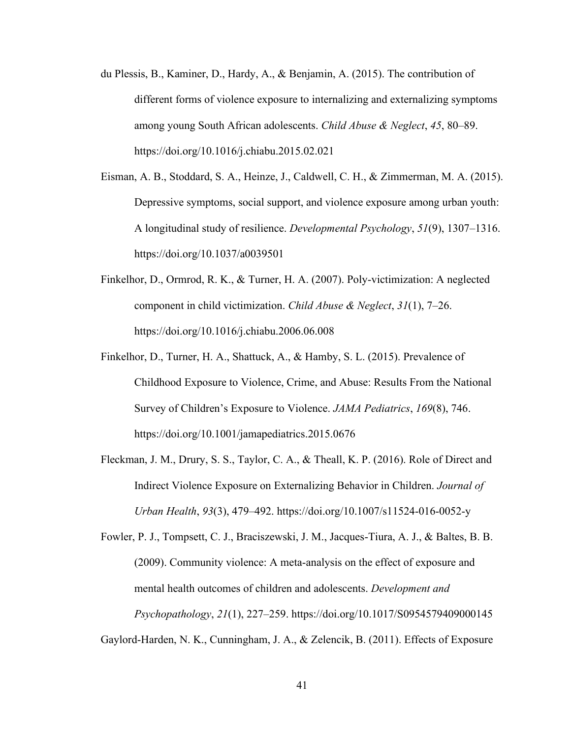- du Plessis, B., Kaminer, D., Hardy, A., & Benjamin, A. (2015). The contribution of different forms of violence exposure to internalizing and externalizing symptoms among young South African adolescents. *Child Abuse & Neglect*, *45*, 80–89. https://doi.org/10.1016/j.chiabu.2015.02.021
- Eisman, A. B., Stoddard, S. A., Heinze, J., Caldwell, C. H., & Zimmerman, M. A. (2015). Depressive symptoms, social support, and violence exposure among urban youth: A longitudinal study of resilience. *Developmental Psychology*, *51*(9), 1307–1316. https://doi.org/10.1037/a0039501
- Finkelhor, D., Ormrod, R. K., & Turner, H. A. (2007). Poly-victimization: A neglected component in child victimization. *Child Abuse & Neglect*, *31*(1), 7–26. https://doi.org/10.1016/j.chiabu.2006.06.008
- Finkelhor, D., Turner, H. A., Shattuck, A., & Hamby, S. L. (2015). Prevalence of Childhood Exposure to Violence, Crime, and Abuse: Results From the National Survey of Children's Exposure to Violence. *JAMA Pediatrics*, *169*(8), 746. https://doi.org/10.1001/jamapediatrics.2015.0676
- Fleckman, J. M., Drury, S. S., Taylor, C. A., & Theall, K. P. (2016). Role of Direct and Indirect Violence Exposure on Externalizing Behavior in Children. *Journal of Urban Health*, *93*(3), 479–492. https://doi.org/10.1007/s11524-016-0052-y

Fowler, P. J., Tompsett, C. J., Braciszewski, J. M., Jacques-Tiura, A. J., & Baltes, B. B. (2009). Community violence: A meta-analysis on the effect of exposure and mental health outcomes of children and adolescents. *Development and Psychopathology*, *21*(1), 227–259. https://doi.org/10.1017/S0954579409000145

Gaylord-Harden, N. K., Cunningham, J. A., & Zelencik, B. (2011). Effects of Exposure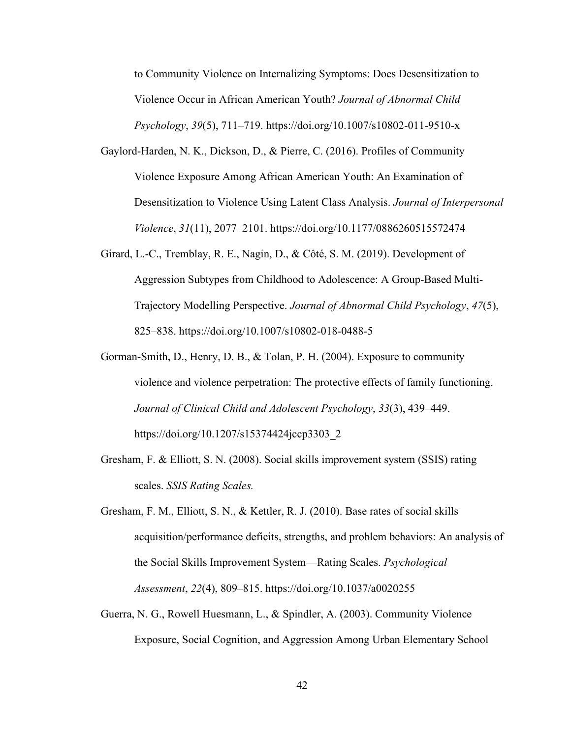to Community Violence on Internalizing Symptoms: Does Desensitization to Violence Occur in African American Youth? *Journal of Abnormal Child Psychology*, *39*(5), 711–719. https://doi.org/10.1007/s10802-011-9510-x

- Gaylord-Harden, N. K., Dickson, D., & Pierre, C. (2016). Profiles of Community Violence Exposure Among African American Youth: An Examination of Desensitization to Violence Using Latent Class Analysis. *Journal of Interpersonal Violence*, *31*(11), 2077–2101. https://doi.org/10.1177/0886260515572474
- Girard, L.-C., Tremblay, R. E., Nagin, D., & Côté, S. M. (2019). Development of Aggression Subtypes from Childhood to Adolescence: A Group-Based Multi-Trajectory Modelling Perspective. *Journal of Abnormal Child Psychology*, *47*(5), 825–838. https://doi.org/10.1007/s10802-018-0488-5
- Gorman-Smith, D., Henry, D. B., & Tolan, P. H. (2004). Exposure to community violence and violence perpetration: The protective effects of family functioning. *Journal of Clinical Child and Adolescent Psychology*, *33*(3), 439–449. https://doi.org/10.1207/s15374424jccp3303\_2
- Gresham, F. & Elliott, S. N. (2008). Social skills improvement system (SSIS) rating scales. *SSIS Rating Scales.*
- Gresham, F. M., Elliott, S. N., & Kettler, R. J. (2010). Base rates of social skills acquisition/performance deficits, strengths, and problem behaviors: An analysis of the Social Skills Improvement System—Rating Scales. *Psychological Assessment*, *22*(4), 809–815. https://doi.org/10.1037/a0020255
- Guerra, N. G., Rowell Huesmann, L., & Spindler, A. (2003). Community Violence Exposure, Social Cognition, and Aggression Among Urban Elementary School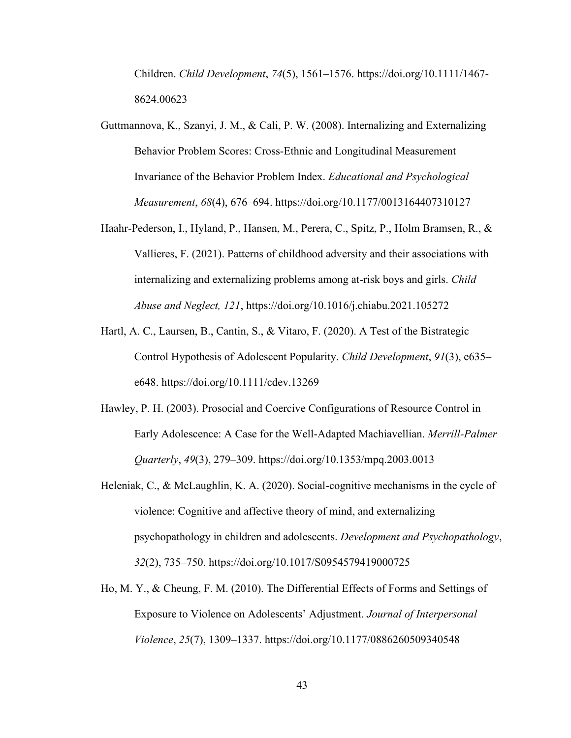Children. *Child Development*, *74*(5), 1561–1576. https://doi.org/10.1111/1467- 8624.00623

- Guttmannova, K., Szanyi, J. M., & Cali, P. W. (2008). Internalizing and Externalizing Behavior Problem Scores: Cross-Ethnic and Longitudinal Measurement Invariance of the Behavior Problem Index. *Educational and Psychological Measurement*, *68*(4), 676–694. https://doi.org/10.1177/0013164407310127
- Haahr-Pederson, I., Hyland, P., Hansen, M., Perera, C., Spitz, P., Holm Bramsen, R., & Vallieres, F. (2021). Patterns of childhood adversity and their associations with internalizing and externalizing problems among at-risk boys and girls. *Child Abuse and Neglect, 121*, https://doi.org/10.1016/j.chiabu.2021.105272
- Hartl, A. C., Laursen, B., Cantin, S., & Vitaro, F. (2020). A Test of the Bistrategic Control Hypothesis of Adolescent Popularity. *Child Development*, *91*(3), e635– e648. https://doi.org/10.1111/cdev.13269
- Hawley, P. H. (2003). Prosocial and Coercive Configurations of Resource Control in Early Adolescence: A Case for the Well-Adapted Machiavellian. *Merrill-Palmer Quarterly*, *49*(3), 279–309. https://doi.org/10.1353/mpq.2003.0013
- Heleniak, C., & McLaughlin, K. A. (2020). Social-cognitive mechanisms in the cycle of violence: Cognitive and affective theory of mind, and externalizing psychopathology in children and adolescents. *Development and Psychopathology*, *32*(2), 735–750. https://doi.org/10.1017/S0954579419000725
- Ho, M. Y., & Cheung, F. M. (2010). The Differential Effects of Forms and Settings of Exposure to Violence on Adolescents' Adjustment. *Journal of Interpersonal Violence*, *25*(7), 1309–1337. https://doi.org/10.1177/0886260509340548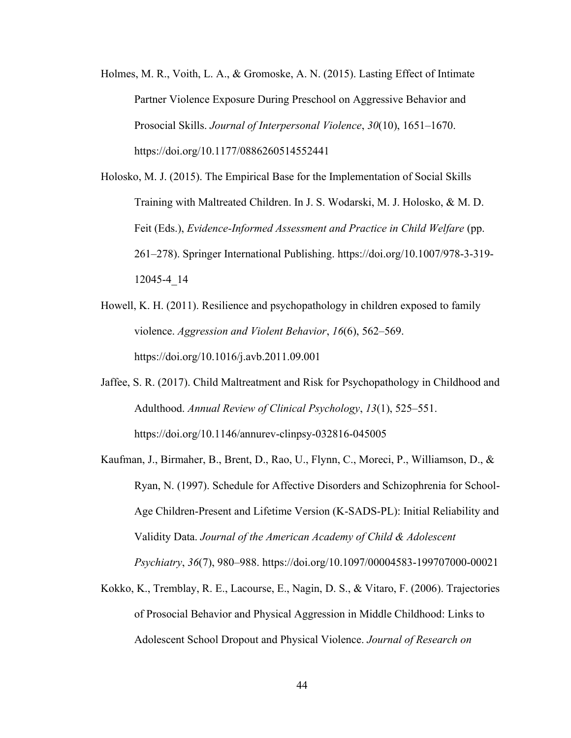- Holmes, M. R., Voith, L. A., & Gromoske, A. N. (2015). Lasting Effect of Intimate Partner Violence Exposure During Preschool on Aggressive Behavior and Prosocial Skills. *Journal of Interpersonal Violence*, *30*(10), 1651–1670. https://doi.org/10.1177/0886260514552441
- Holosko, M. J. (2015). The Empirical Base for the Implementation of Social Skills Training with Maltreated Children. In J. S. Wodarski, M. J. Holosko, & M. D. Feit (Eds.), *Evidence-Informed Assessment and Practice in Child Welfare* (pp. 261–278). Springer International Publishing. https://doi.org/10.1007/978-3-319- 12045-4\_14
- Howell, K. H. (2011). Resilience and psychopathology in children exposed to family violence. *Aggression and Violent Behavior*, *16*(6), 562–569. https://doi.org/10.1016/j.avb.2011.09.001
- Jaffee, S. R. (2017). Child Maltreatment and Risk for Psychopathology in Childhood and Adulthood. *Annual Review of Clinical Psychology*, *13*(1), 525–551. https://doi.org/10.1146/annurev-clinpsy-032816-045005
- Kaufman, J., Birmaher, B., Brent, D., Rao, U., Flynn, C., Moreci, P., Williamson, D., & Ryan, N. (1997). Schedule for Affective Disorders and Schizophrenia for School-Age Children-Present and Lifetime Version (K-SADS-PL): Initial Reliability and Validity Data. *Journal of the American Academy of Child & Adolescent Psychiatry*, *36*(7), 980–988. https://doi.org/10.1097/00004583-199707000-00021
- Kokko, K., Tremblay, R. E., Lacourse, E., Nagin, D. S., & Vitaro, F. (2006). Trajectories of Prosocial Behavior and Physical Aggression in Middle Childhood: Links to Adolescent School Dropout and Physical Violence. *Journal of Research on*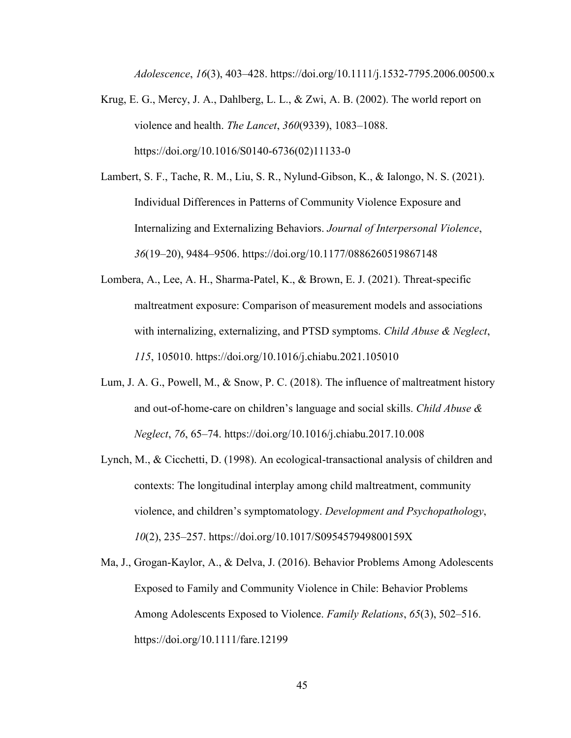*Adolescence*, *16*(3), 403–428. https://doi.org/10.1111/j.1532-7795.2006.00500.x

- Krug, E. G., Mercy, J. A., Dahlberg, L. L., & Zwi, A. B. (2002). The world report on violence and health. *The Lancet*, *360*(9339), 1083–1088. https://doi.org/10.1016/S0140-6736(02)11133-0
- Lambert, S. F., Tache, R. M., Liu, S. R., Nylund-Gibson, K., & Ialongo, N. S. (2021). Individual Differences in Patterns of Community Violence Exposure and Internalizing and Externalizing Behaviors. *Journal of Interpersonal Violence*, *36*(19–20), 9484–9506. https://doi.org/10.1177/0886260519867148
- Lombera, A., Lee, A. H., Sharma-Patel, K., & Brown, E. J. (2021). Threat-specific maltreatment exposure: Comparison of measurement models and associations with internalizing, externalizing, and PTSD symptoms. *Child Abuse & Neglect*, *115*, 105010. https://doi.org/10.1016/j.chiabu.2021.105010
- Lum, J. A. G., Powell, M., & Snow, P. C. (2018). The influence of maltreatment history and out-of-home-care on children's language and social skills. *Child Abuse & Neglect*, *76*, 65–74. https://doi.org/10.1016/j.chiabu.2017.10.008
- Lynch, M., & Cicchetti, D. (1998). An ecological-transactional analysis of children and contexts: The longitudinal interplay among child maltreatment, community violence, and children's symptomatology. *Development and Psychopathology*, *10*(2), 235–257. https://doi.org/10.1017/S095457949800159X
- Ma, J., Grogan-Kaylor, A., & Delva, J. (2016). Behavior Problems Among Adolescents Exposed to Family and Community Violence in Chile: Behavior Problems Among Adolescents Exposed to Violence. *Family Relations*, *65*(3), 502–516. https://doi.org/10.1111/fare.12199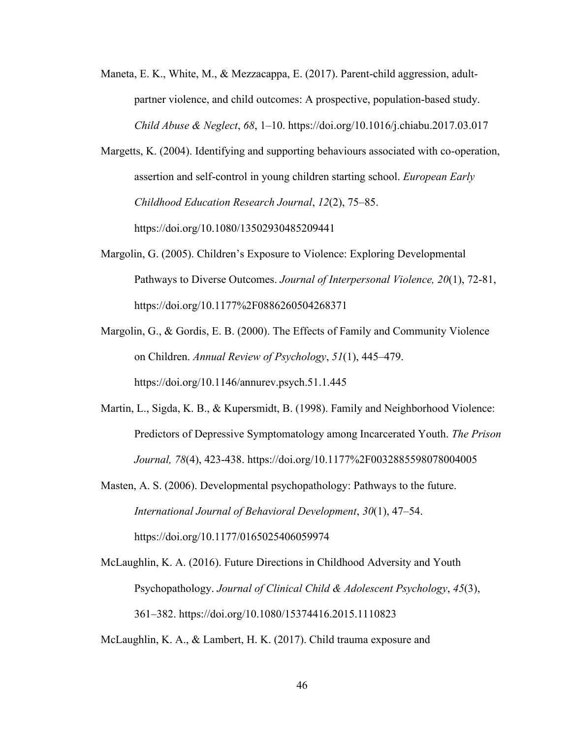- Maneta, E. K., White, M., & Mezzacappa, E. (2017). Parent-child aggression, adultpartner violence, and child outcomes: A prospective, population-based study. *Child Abuse & Neglect*, *68*, 1–10. https://doi.org/10.1016/j.chiabu.2017.03.017
- Margetts, K. (2004). Identifying and supporting behaviours associated with co-operation, assertion and self-control in young children starting school. *European Early Childhood Education Research Journal*, *12*(2), 75–85. https://doi.org/10.1080/13502930485209441
- Margolin, G. (2005). Children's Exposure to Violence: Exploring Developmental Pathways to Diverse Outcomes. *Journal of Interpersonal Violence, 20*(1), 72-81, https://doi.org/10.1177%2F0886260504268371
- Margolin, G., & Gordis, E. B. (2000). The Effects of Family and Community Violence on Children. *Annual Review of Psychology*, *51*(1), 445–479. https://doi.org/10.1146/annurev.psych.51.1.445
- Martin, L., Sigda, K. B., & Kupersmidt, B. (1998). Family and Neighborhood Violence: Predictors of Depressive Symptomatology among Incarcerated Youth. *The Prison Journal, 78*(4), 423-438. https://doi.org/10.1177%2F0032885598078004005
- Masten, A. S. (2006). Developmental psychopathology: Pathways to the future. *International Journal of Behavioral Development*, *30*(1), 47–54. https://doi.org/10.1177/0165025406059974
- McLaughlin, K. A. (2016). Future Directions in Childhood Adversity and Youth Psychopathology. *Journal of Clinical Child & Adolescent Psychology*, *45*(3), 361–382. https://doi.org/10.1080/15374416.2015.1110823

McLaughlin, K. A., & Lambert, H. K. (2017). Child trauma exposure and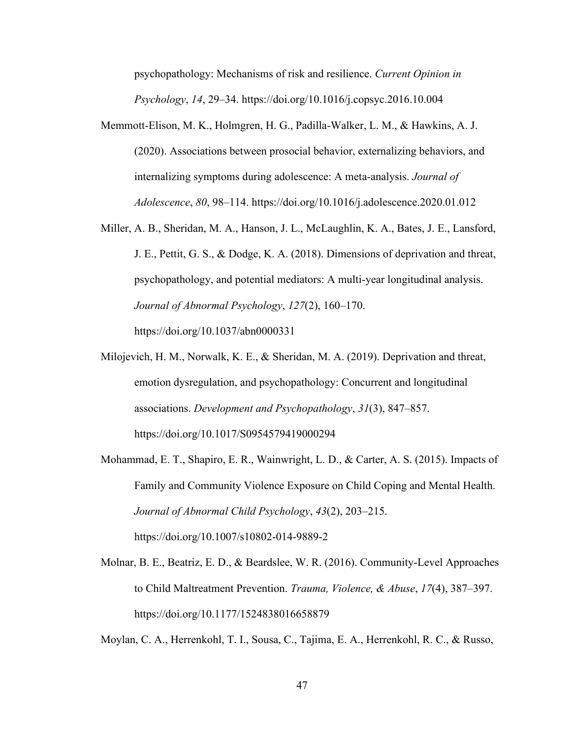psychopathology: Mechanisms of risk and resilience. *Current Opinion in Psychology*, *14*, 29–34. https://doi.org/10.1016/j.copsyc.2016.10.004

- Memmott-Elison, M. K., Holmgren, H. G., Padilla-Walker, L. M., & Hawkins, A. J. (2020). Associations between prosocial behavior, externalizing behaviors, and internalizing symptoms during adolescence: A meta-analysis. *Journal of Adolescence*, *80*, 98–114. https://doi.org/10.1016/j.adolescence.2020.01.012
- Miller, A. B., Sheridan, M. A., Hanson, J. L., McLaughlin, K. A., Bates, J. E., Lansford, J. E., Pettit, G. S., & Dodge, K. A. (2018). Dimensions of deprivation and threat, psychopathology, and potential mediators: A multi-year longitudinal analysis. *Journal of Abnormal Psychology*, *127*(2), 160–170. https://doi.org/10.1037/abn0000331
- Milojevich, H. M., Norwalk, K. E., & Sheridan, M. A. (2019). Deprivation and threat, emotion dysregulation, and psychopathology: Concurrent and longitudinal associations. *Development and Psychopathology*, *31*(3), 847–857. https://doi.org/10.1017/S0954579419000294
- Mohammad, E. T., Shapiro, E. R., Wainwright, L. D., & Carter, A. S. (2015). Impacts of Family and Community Violence Exposure on Child Coping and Mental Health. *Journal of Abnormal Child Psychology*, *43*(2), 203–215. https://doi.org/10.1007/s10802-014-9889-2
- Molnar, B. E., Beatriz, E. D., & Beardslee, W. R. (2016). Community-Level Approaches to Child Maltreatment Prevention. *Trauma, Violence, & Abuse*, *17*(4), 387–397. https://doi.org/10.1177/1524838016658879

Moylan, C. A., Herrenkohl, T. I., Sousa, C., Tajima, E. A., Herrenkohl, R. C., & Russo,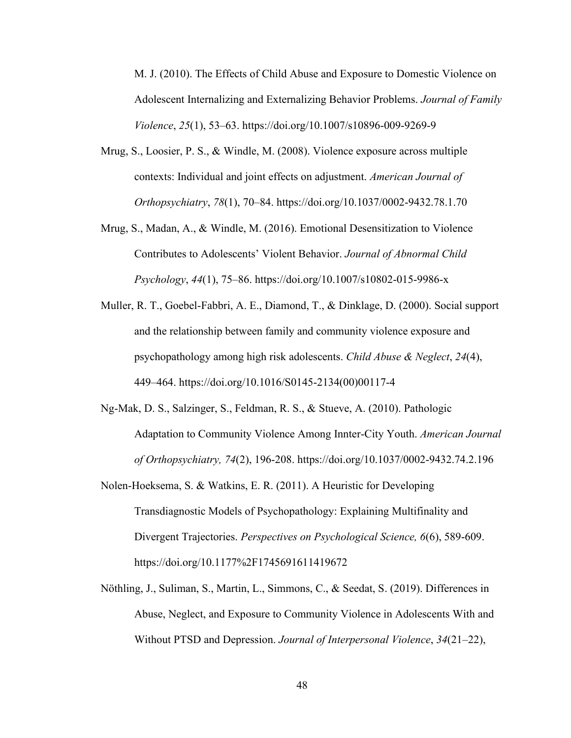M. J. (2010). The Effects of Child Abuse and Exposure to Domestic Violence on Adolescent Internalizing and Externalizing Behavior Problems. *Journal of Family Violence*, *25*(1), 53–63. https://doi.org/10.1007/s10896-009-9269-9

- Mrug, S., Loosier, P. S., & Windle, M. (2008). Violence exposure across multiple contexts: Individual and joint effects on adjustment. *American Journal of Orthopsychiatry*, *78*(1), 70–84. https://doi.org/10.1037/0002-9432.78.1.70
- Mrug, S., Madan, A., & Windle, M. (2016). Emotional Desensitization to Violence Contributes to Adolescents' Violent Behavior. *Journal of Abnormal Child Psychology*, *44*(1), 75–86. https://doi.org/10.1007/s10802-015-9986-x
- Muller, R. T., Goebel-Fabbri, A. E., Diamond, T., & Dinklage, D. (2000). Social support and the relationship between family and community violence exposure and psychopathology among high risk adolescents. *Child Abuse & Neglect*, *24*(4), 449–464. https://doi.org/10.1016/S0145-2134(00)00117-4
- Ng-Mak, D. S., Salzinger, S., Feldman, R. S., & Stueve, A. (2010). Pathologic Adaptation to Community Violence Among Innter-City Youth. *American Journal of Orthopsychiatry, 74*(2), 196-208. https://doi.org/10.1037/0002-9432.74.2.196
- Nolen-Hoeksema, S. & Watkins, E. R. (2011). A Heuristic for Developing Transdiagnostic Models of Psychopathology: Explaining Multifinality and Divergent Trajectories. *Perspectives on Psychological Science, 6*(6), 589-609. https://doi.org/10.1177%2F1745691611419672
- Nöthling, J., Suliman, S., Martin, L., Simmons, C., & Seedat, S. (2019). Differences in Abuse, Neglect, and Exposure to Community Violence in Adolescents With and Without PTSD and Depression. *Journal of Interpersonal Violence*, *34*(21–22),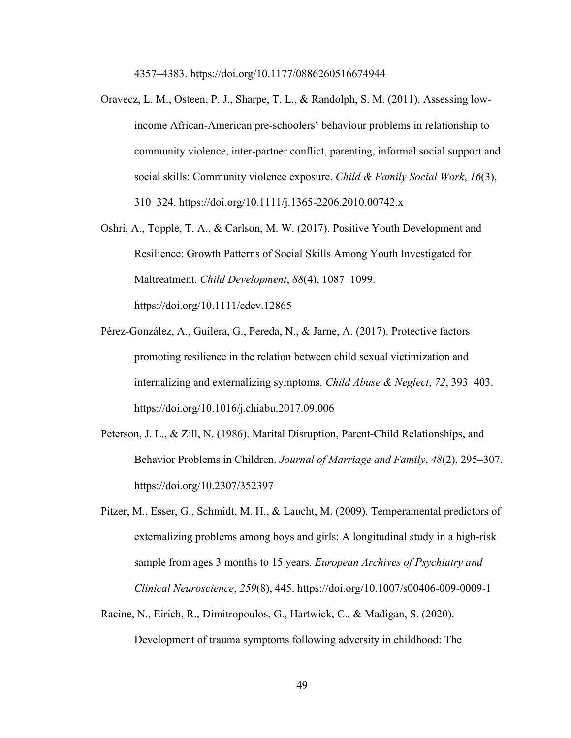4357–4383. https://doi.org/10.1177/0886260516674944

- Oravecz, L. M., Osteen, P. J., Sharpe, T. L., & Randolph, S. M. (2011). Assessing lowincome African-American pre-schoolers' behaviour problems in relationship to community violence, inter-partner conflict, parenting, informal social support and social skills: Community violence exposure. *Child & Family Social Work*, *16*(3), 310–324. https://doi.org/10.1111/j.1365-2206.2010.00742.x
- Oshri, A., Topple, T. A., & Carlson, M. W. (2017). Positive Youth Development and Resilience: Growth Patterns of Social Skills Among Youth Investigated for Maltreatment. *Child Development*, *88*(4), 1087–1099. https://doi.org/10.1111/cdev.12865
- Pérez-González, A., Guilera, G., Pereda, N., & Jarne, A. (2017). Protective factors promoting resilience in the relation between child sexual victimization and internalizing and externalizing symptoms. *Child Abuse & Neglect*, *72*, 393–403. https://doi.org/10.1016/j.chiabu.2017.09.006
- Peterson, J. L., & Zill, N. (1986). Marital Disruption, Parent-Child Relationships, and Behavior Problems in Children. *Journal of Marriage and Family*, *48*(2), 295–307. https://doi.org/10.2307/352397
- Pitzer, M., Esser, G., Schmidt, M. H., & Laucht, M. (2009). Temperamental predictors of externalizing problems among boys and girls: A longitudinal study in a high-risk sample from ages 3 months to 15 years. *European Archives of Psychiatry and Clinical Neuroscience*, *259*(8), 445. https://doi.org/10.1007/s00406-009-0009-1
- Racine, N., Eirich, R., Dimitropoulos, G., Hartwick, C., & Madigan, S. (2020). Development of trauma symptoms following adversity in childhood: The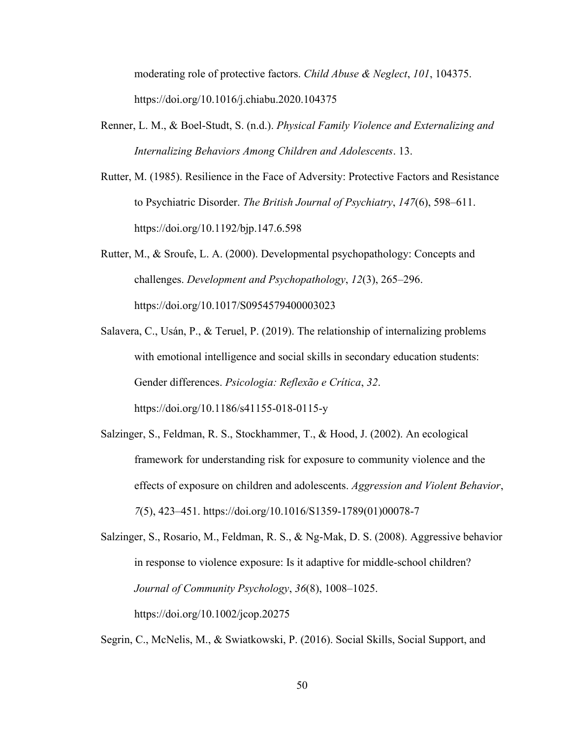moderating role of protective factors. *Child Abuse & Neglect*, *101*, 104375. https://doi.org/10.1016/j.chiabu.2020.104375

- Renner, L. M., & Boel-Studt, S. (n.d.). *Physical Family Violence and Externalizing and Internalizing Behaviors Among Children and Adolescents*. 13.
- Rutter, M. (1985). Resilience in the Face of Adversity: Protective Factors and Resistance to Psychiatric Disorder. *The British Journal of Psychiatry*, *147*(6), 598–611. https://doi.org/10.1192/bjp.147.6.598
- Rutter, M., & Sroufe, L. A. (2000). Developmental psychopathology: Concepts and challenges. *Development and Psychopathology*, *12*(3), 265–296. https://doi.org/10.1017/S0954579400003023
- Salavera, C., Usán, P., & Teruel, P. (2019). The relationship of internalizing problems with emotional intelligence and social skills in secondary education students: Gender differences. *Psicologia: Reflexão e Crítica*, *32*. https://doi.org/10.1186/s41155-018-0115-y
- Salzinger, S., Feldman, R. S., Stockhammer, T., & Hood, J. (2002). An ecological framework for understanding risk for exposure to community violence and the effects of exposure on children and adolescents. *Aggression and Violent Behavior*, *7*(5), 423–451. https://doi.org/10.1016/S1359-1789(01)00078-7

Salzinger, S., Rosario, M., Feldman, R. S., & Ng-Mak, D. S. (2008). Aggressive behavior in response to violence exposure: Is it adaptive for middle-school children? *Journal of Community Psychology*, *36*(8), 1008–1025. https://doi.org/10.1002/jcop.20275

Segrin, C., McNelis, M., & Swiatkowski, P. (2016). Social Skills, Social Support, and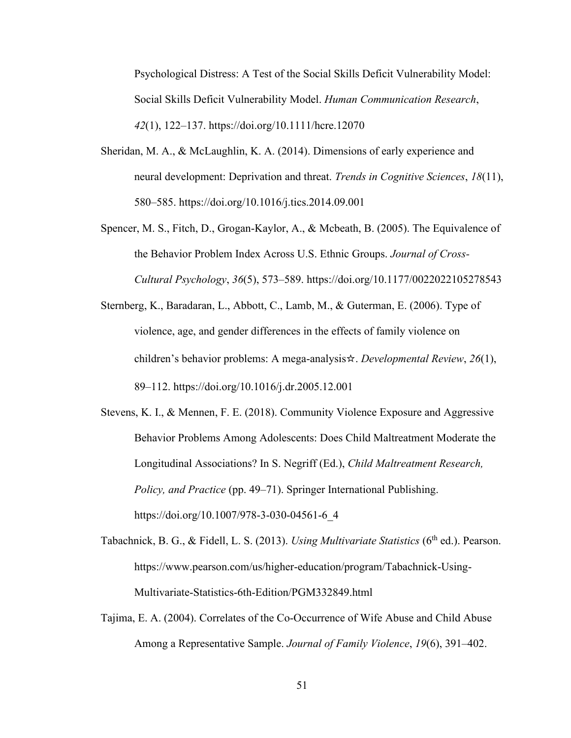Psychological Distress: A Test of the Social Skills Deficit Vulnerability Model: Social Skills Deficit Vulnerability Model. *Human Communication Research*, *42*(1), 122–137. https://doi.org/10.1111/hcre.12070

- Sheridan, M. A., & McLaughlin, K. A. (2014). Dimensions of early experience and neural development: Deprivation and threat. *Trends in Cognitive Sciences*, *18*(11), 580–585. https://doi.org/10.1016/j.tics.2014.09.001
- Spencer, M. S., Fitch, D., Grogan-Kaylor, A., & Mcbeath, B. (2005). The Equivalence of the Behavior Problem Index Across U.S. Ethnic Groups. *Journal of Cross-Cultural Psychology*, *36*(5), 573–589. https://doi.org/10.1177/0022022105278543
- Sternberg, K., Baradaran, L., Abbott, C., Lamb, M., & Guterman, E. (2006). Type of violence, age, and gender differences in the effects of family violence on children's behavior problems: A mega-analysis☆. *Developmental Review*, *26*(1), 89–112. https://doi.org/10.1016/j.dr.2005.12.001
- Stevens, K. I., & Mennen, F. E. (2018). Community Violence Exposure and Aggressive Behavior Problems Among Adolescents: Does Child Maltreatment Moderate the Longitudinal Associations? In S. Negriff (Ed.), *Child Maltreatment Research, Policy, and Practice* (pp. 49–71). Springer International Publishing. https://doi.org/10.1007/978-3-030-04561-6\_4
- Tabachnick, B. G., & Fidell, L. S. (2013). *Using Multivariate Statistics* (6<sup>th</sup> ed.). Pearson. https://www.pearson.com/us/higher-education/program/Tabachnick-Using-Multivariate-Statistics-6th-Edition/PGM332849.html
- Tajima, E. A. (2004). Correlates of the Co-Occurrence of Wife Abuse and Child Abuse Among a Representative Sample. *Journal of Family Violence*, *19*(6), 391–402.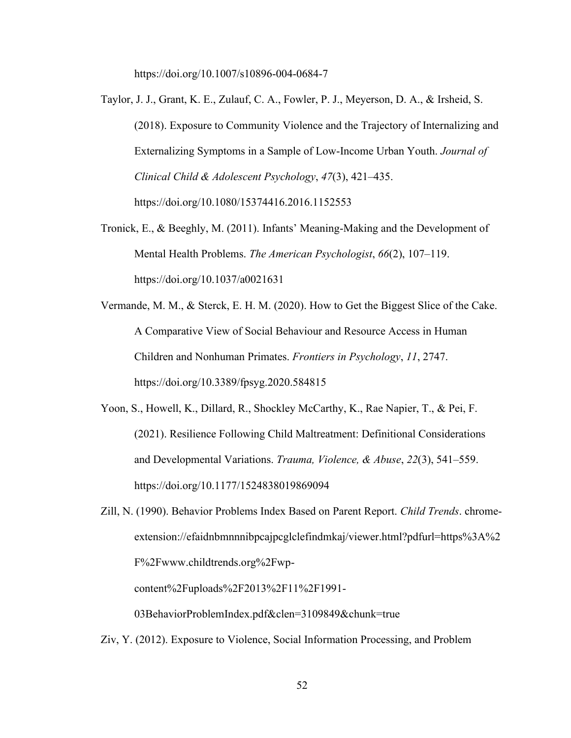https://doi.org/10.1007/s10896-004-0684-7

- Taylor, J. J., Grant, K. E., Zulauf, C. A., Fowler, P. J., Meyerson, D. A., & Irsheid, S. (2018). Exposure to Community Violence and the Trajectory of Internalizing and Externalizing Symptoms in a Sample of Low-Income Urban Youth. *Journal of Clinical Child & Adolescent Psychology*, *47*(3), 421–435. https://doi.org/10.1080/15374416.2016.1152553
- Tronick, E., & Beeghly, M. (2011). Infants' Meaning-Making and the Development of Mental Health Problems. *The American Psychologist*, *66*(2), 107–119. https://doi.org/10.1037/a0021631
- Vermande, M. M., & Sterck, E. H. M. (2020). How to Get the Biggest Slice of the Cake. A Comparative View of Social Behaviour and Resource Access in Human Children and Nonhuman Primates. *Frontiers in Psychology*, *11*, 2747. https://doi.org/10.3389/fpsyg.2020.584815
- Yoon, S., Howell, K., Dillard, R., Shockley McCarthy, K., Rae Napier, T., & Pei, F. (2021). Resilience Following Child Maltreatment: Definitional Considerations and Developmental Variations. *Trauma, Violence, & Abuse*, *22*(3), 541–559. https://doi.org/10.1177/1524838019869094
- Zill, N. (1990). Behavior Problems Index Based on Parent Report. *Child Trends*. chromeextension://efaidnbmnnnibpcajpcglclefindmkaj/viewer.html?pdfurl=https%3A%2 F%2Fwww.childtrends.org%2Fwp-

content%2Fuploads%2F2013%2F11%2F1991-

03BehaviorProblemIndex.pdf&clen=3109849&chunk=true

Ziv, Y. (2012). Exposure to Violence, Social Information Processing, and Problem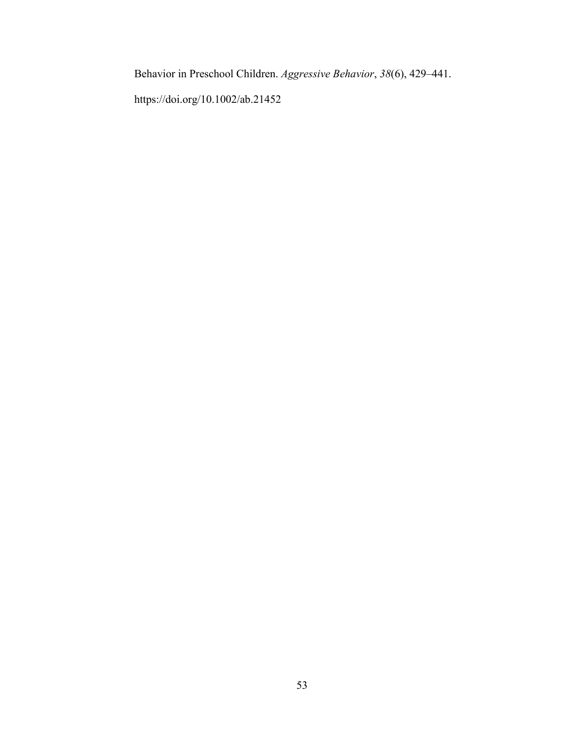Behavior in Preschool Children. *Aggressive Behavior*, *38*(6), 429–441.

https://doi.org/10.1002/ab.21452